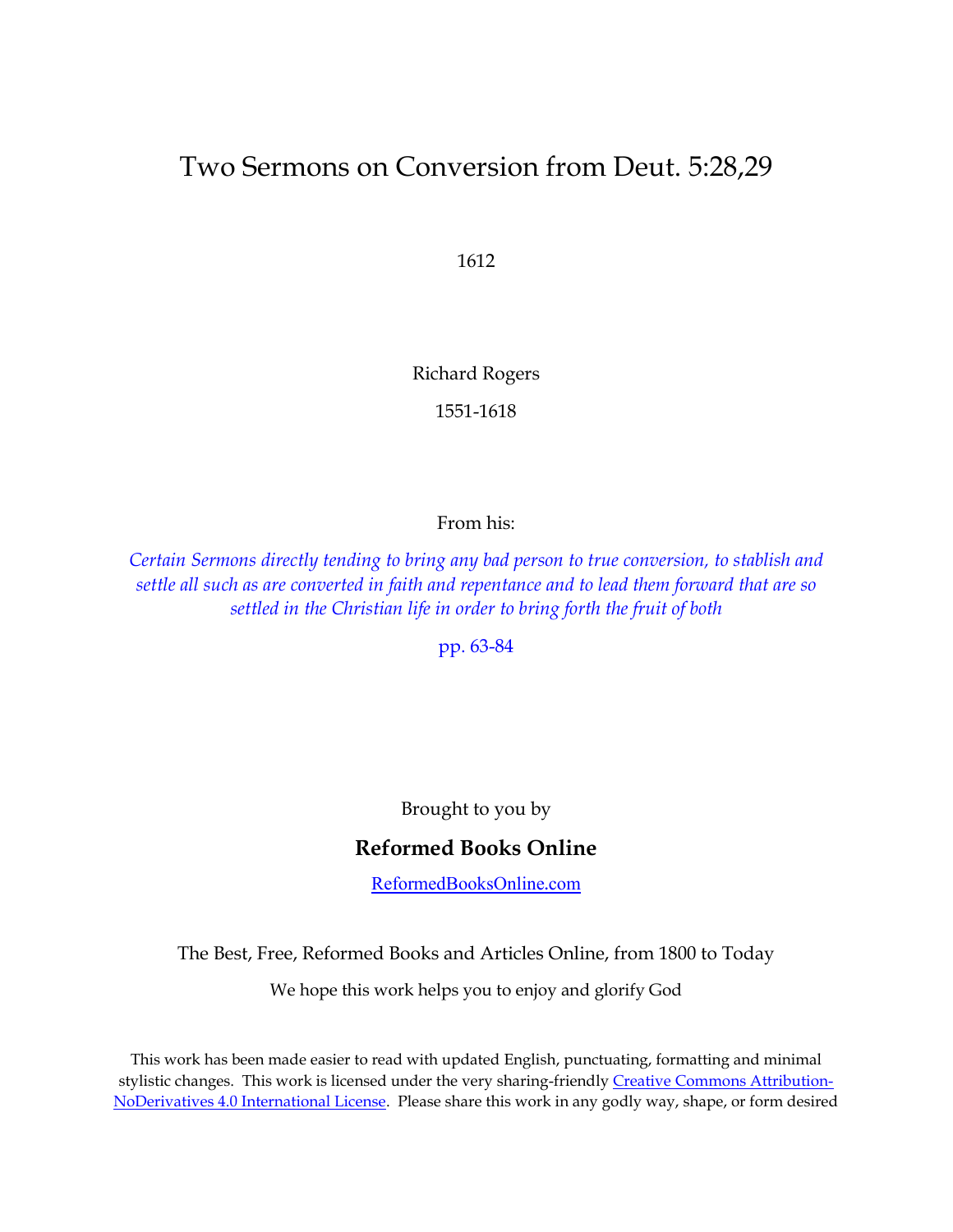# Two Sermons on Conversion from Deut. 5:28,29

1612

Richard Rogers

1551-1618

From his:

*Certain Sermons directly tending to [bring any bad person to true conversion, to stablish and](http://quod.lib.umich.edu/e/eebo/A10931.0001.001?c=eebo;c=eebo2;g=eebogroup;rgn=works;view=toc;xc=1;rgn1=author;q1=rogers%2C+richard)  settle all such as are converted in faith and repentance [and to lead them forward that are so](http://quod.lib.umich.edu/e/eebo/A10931.0001.001?c=eebo;c=eebo2;g=eebogroup;rgn=works;view=toc;xc=1;rgn1=author;q1=rogers%2C+richard)  settled in the Christian life in order [to bring forth the fruit of both](http://quod.lib.umich.edu/e/eebo/A10931.0001.001?c=eebo;c=eebo2;g=eebogroup;rgn=works;view=toc;xc=1;rgn1=author;q1=rogers%2C+richard)*

[pp. 63-84](http://quod.lib.umich.edu/e/eebo/A10931.0001.001/1:7?c=eebo;c=eebo2;g=eebogroup;rgn=div1;view=fulltext;xc=1;rgn1=author;q1=rogers%2C+richard)

Brought to you by

#### **Reformed Books Online**

[ReformedBooksOnline.com](http://reformedbooksonline.com/)

The Best, Free, Reformed Books and Articles Online, from 1800 to Today

We hope this work helps you to enjoy and glorify God

This work has been made easier to read with updated English, punctuating, formatting and minimal stylistic changes. This work is licensed under the very sharing-friendly [Creative Commons Attribution-](http://creativecommons.org/licenses/by-nd/4.0/)[NoDerivatives 4.0 International License.](http://creativecommons.org/licenses/by-nd/4.0/) Please share this work in any godly way, shape, or form desired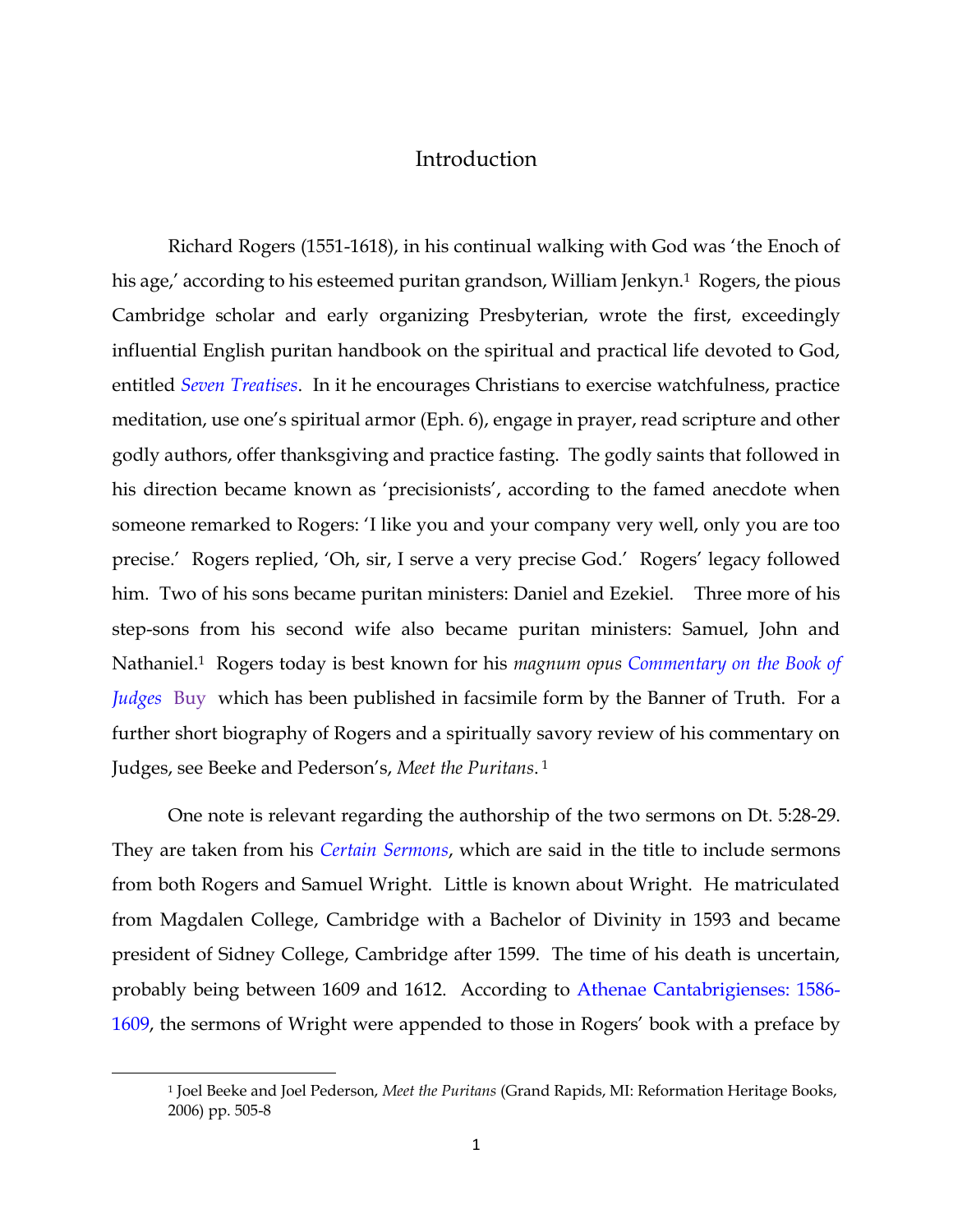### Introduction

Richard Rogers (1551-1618), in his continual walking with God was 'the Enoch of his age,' according to his esteemed puritan grandson, William Jenkyn.<sup>1</sup> Rogers, the pious Cambridge scholar and early organizing Presbyterian, wrote the first, exceedingly influential English puritan handbook on the spiritual and practical life devoted to God, entitled *[Seven Treatises](http://quod.lib.umich.edu/e/eebo/A10945.0001.001?c=eebo;c=eebo2;g=eebogroup;rgn=works;view=toc;xc=1;rgn1=author;q1=rogers%2C+richard)*. In it he encourages Christians to exercise watchfulness, practice meditation, use one's spiritual armor (Eph. 6), engage in prayer, read scripture and other godly authors, offer thanksgiving and practice fasting. The godly saints that followed in his direction became known as 'precisionists', according to the famed anecdote when someone remarked to Rogers: 'I like you and your company very well, only you are too precise.' Rogers replied, 'Oh, sir, I serve a very precise God.' Rogers' legacy followed him. Two of his sons became puritan ministers: Daniel and Ezekiel. Three more of his step-sons from his second wife also became puritan ministers: Samuel, John and Nathaniel.1 Rogers today is best known for his *magnum opus [Commentary on the Book of](http://quod.lib.umich.edu/e/eebo/A10933.0001.001?c=eebo;c=eebo2;g=eebogroup;rgn=works;view=toc;xc=1;rgn1=author;q1=rogers%2C+richard)  [Judges](http://quod.lib.umich.edu/e/eebo/A10933.0001.001?c=eebo;c=eebo2;g=eebogroup;rgn=works;view=toc;xc=1;rgn1=author;q1=rogers%2C+richard)* [Buy](http://www.bookfinder.com/search/?author=richard+rogers&title=judges&lang=en&new_used=*&destination=us¤cy=USD&binding=*&isbn=&keywords=&minprice=&maxprice=&min_year=&max_year=&mode=advanced&st=sr&ac=qr)which has been published in facsimile form by the Banner of Truth. For a further short biography of Rogers and a spiritually savory review of his commentary on Judges, see Beeke and Pederson's, *Meet the Puritans*. <sup>1</sup>

One note is relevant regarding the authorship of the two sermons on Dt. 5:28-29. They are taken from his *[Certain Sermons](http://quod.lib.umich.edu/e/eebo/A10931.0001.001?c=eebo;c=eebo2;g=eebogroup;rgn=main;view=toc;xc=1;rgn1=author;q1=rogers%2C+richard)*, which are said in the title to include sermons from both Rogers and Samuel Wright. Little is known about Wright. He matriculated from Magdalen College, Cambridge with a Bachelor of Divinity in 1593 and became president of Sidney College, Cambridge after 1599. The time of his death is uncertain, probably being between 1609 and 1612. According to [Athenae Cantabrigienses: 1586-](https://books.google.com/books?id=80oJAAAAQAAJ&pg=PA531&lpg=PA531&dq=samuel+wright+divers+godly+and+learned+sermons+1612&source=bl&ots=DtdMvfIzzR&sig=KBmPC0DBru0U2NJIel3Uj0--PJs&hl=en&sa=X&ei=QqiaVYnEEsPBtQXuk4LwAg&ved=0CDgQ6AEwCQ#v=onepage&q=samuel%20wright%20divers%20godly%20and%20learned%20sermons%201612&f=false) [1609,](https://books.google.com/books?id=80oJAAAAQAAJ&pg=PA531&lpg=PA531&dq=samuel+wright+divers+godly+and+learned+sermons+1612&source=bl&ots=DtdMvfIzzR&sig=KBmPC0DBru0U2NJIel3Uj0--PJs&hl=en&sa=X&ei=QqiaVYnEEsPBtQXuk4LwAg&ved=0CDgQ6AEwCQ#v=onepage&q=samuel%20wright%20divers%20godly%20and%20learned%20sermons%201612&f=false) the sermons of Wright were appended to those in Rogers' book with a preface by

 $\overline{a}$ 

<sup>1</sup> Joel Beeke and Joel Pederson, *Meet the Puritans* (Grand Rapids, MI: Reformation Heritage Books, 2006) pp. 505-8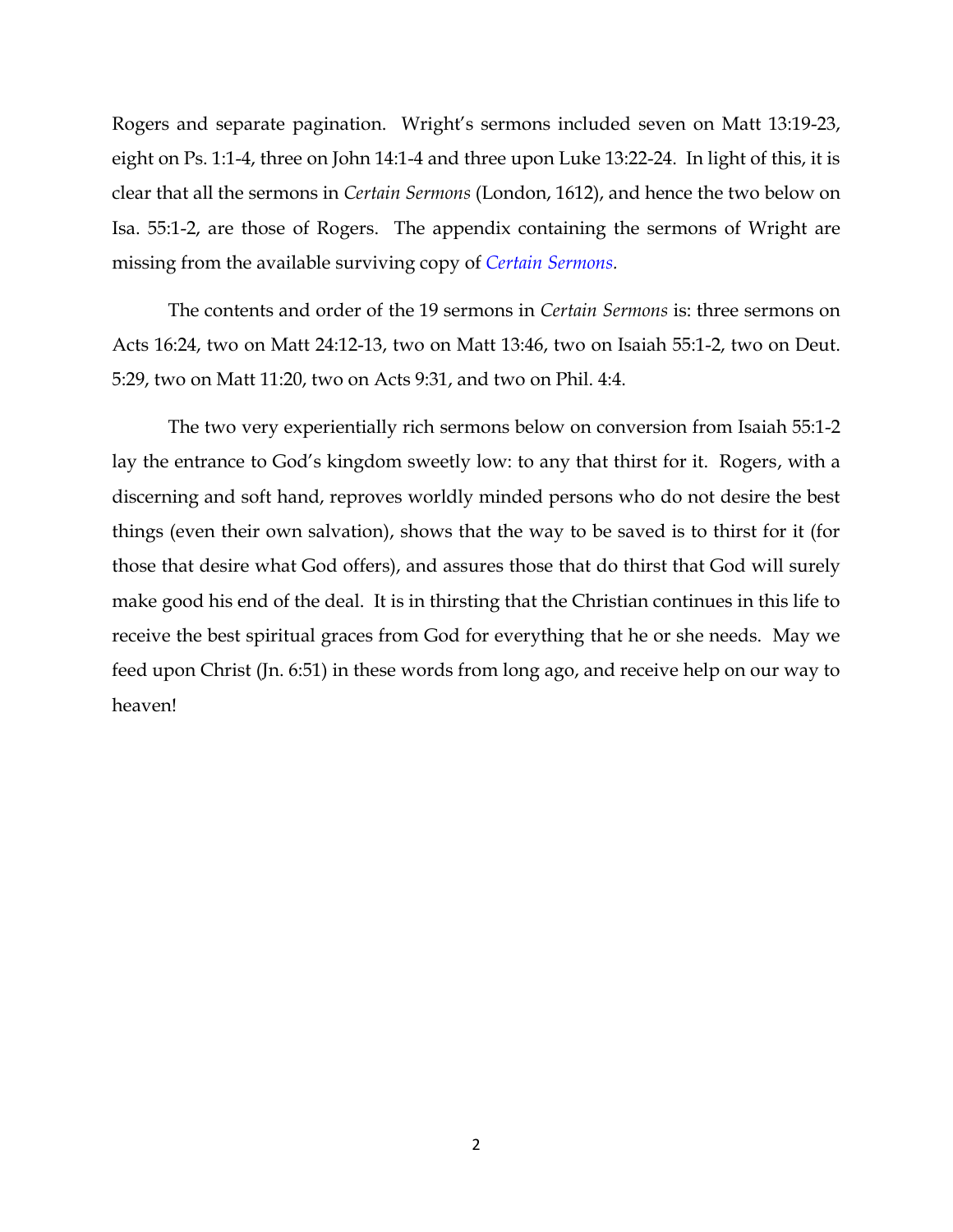Rogers and separate pagination. Wright's sermons included seven on Matt 13:19-23, eight on Ps. 1:1-4, three on John 14:1-4 and three upon Luke 13:22-24. In light of this, it is clear that all the sermons in *Certain Sermons* (London, 1612), and hence the two below on Isa. 55:1-2, are those of Rogers. The appendix containing the sermons of Wright are missing from the available surviving copy of *[Certain Sermons.](http://quod.lib.umich.edu/e/eebo/A10931.0001.001?c=eebo;c=eebo2;g=eebogroup;rgn=main;view=toc;xc=1;rgn1=author;q1=rogers%2C+richard)*

The contents and order of the 19 sermons in *Certain Sermons* is: three sermons on Acts 16:24, two on Matt 24:12-13, two on Matt 13:46, two on Isaiah 55:1-2, two on Deut. 5:29, two on Matt 11:20, two on Acts 9:31, and two on Phil. 4:4.

The two very experientially rich sermons below on conversion from Isaiah 55:1-2 lay the entrance to God's kingdom sweetly low: to any that thirst for it. Rogers, with a discerning and soft hand, reproves worldly minded persons who do not desire the best things (even their own salvation), shows that the way to be saved is to thirst for it (for those that desire what God offers), and assures those that do thirst that God will surely make good his end of the deal. It is in thirsting that the Christian continues in this life to receive the best spiritual graces from God for everything that he or she needs. May we feed upon Christ (Jn. 6:51) in these words from long ago, and receive help on our way to heaven!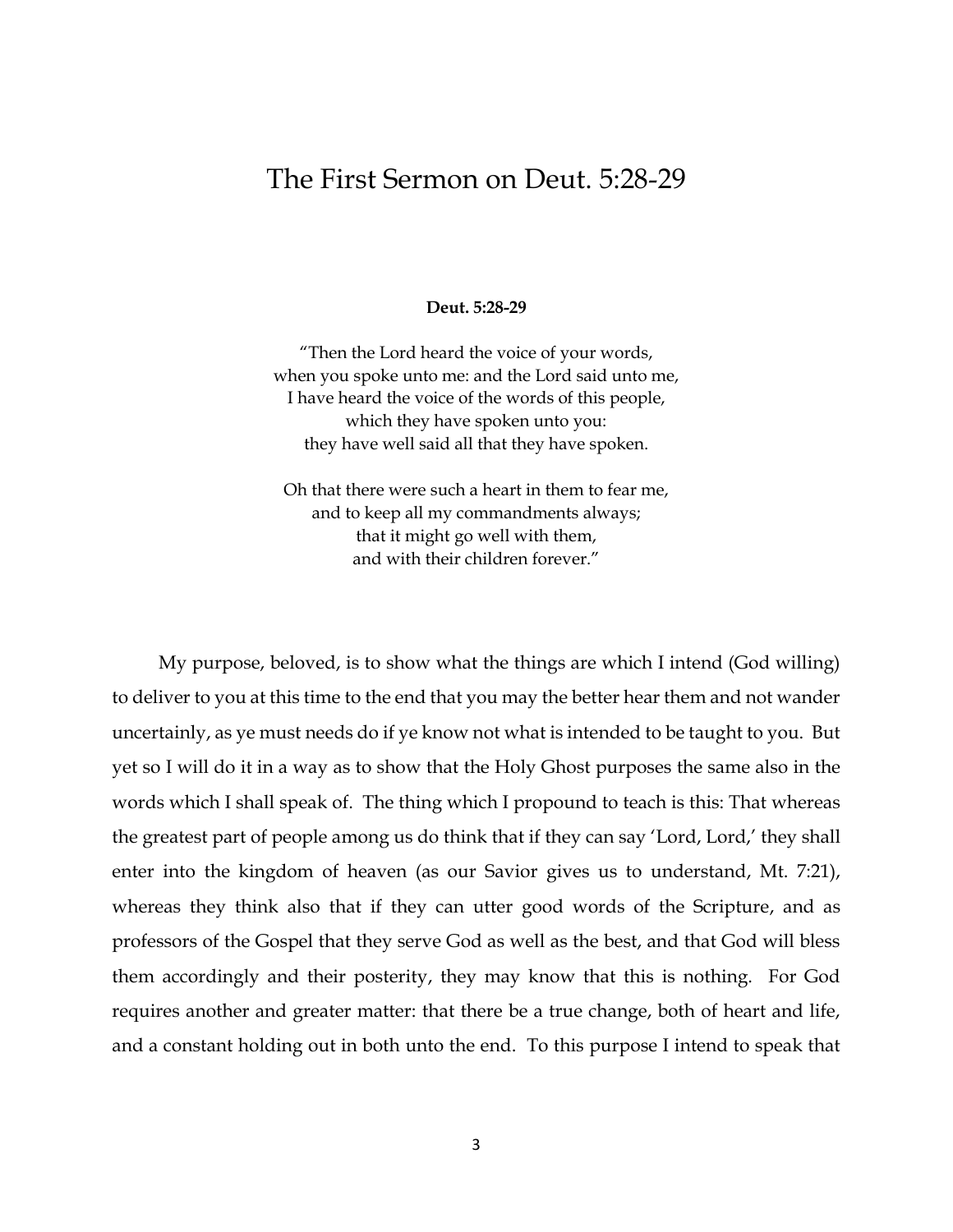## The First Sermon on Deut. 5:28-29

#### **Deut. 5:28-29**

"Then the Lord heard the voice of your words, when you spoke unto me: and the Lord said unto me, I have heard the voice of the words of this people, which they have spoken unto you: they have well said all that they have spoken.

Oh that there were such a heart in them to fear me, and to keep all my commandments always; that it might go well with them, and with their children forever."

 My purpose, beloved, is to show what the things are which I intend (God willing) to deliver to you at this time to the end that you may the better hear them and not wander uncertainly, as ye must needs do if ye know not what is intended to be taught to you. But yet so I will do it in a way as to show that the Holy Ghost purposes the same also in the words which I shall speak of. The thing which I propound to teach is this: That whereas the greatest part of people among us do think that if they can say 'Lord, Lord,' they shall enter into the kingdom of heaven (as our Savior gives us to understand, Mt. 7:21), whereas they think also that if they can utter good words of the Scripture, and as professors of the Gospel that they serve God as well as the best, and that God will bless them accordingly and their posterity, they may know that this is nothing. For God requires another and greater matter: that there be a true change, both of heart and life, and a constant holding out in both unto the end. To this purpose I intend to speak that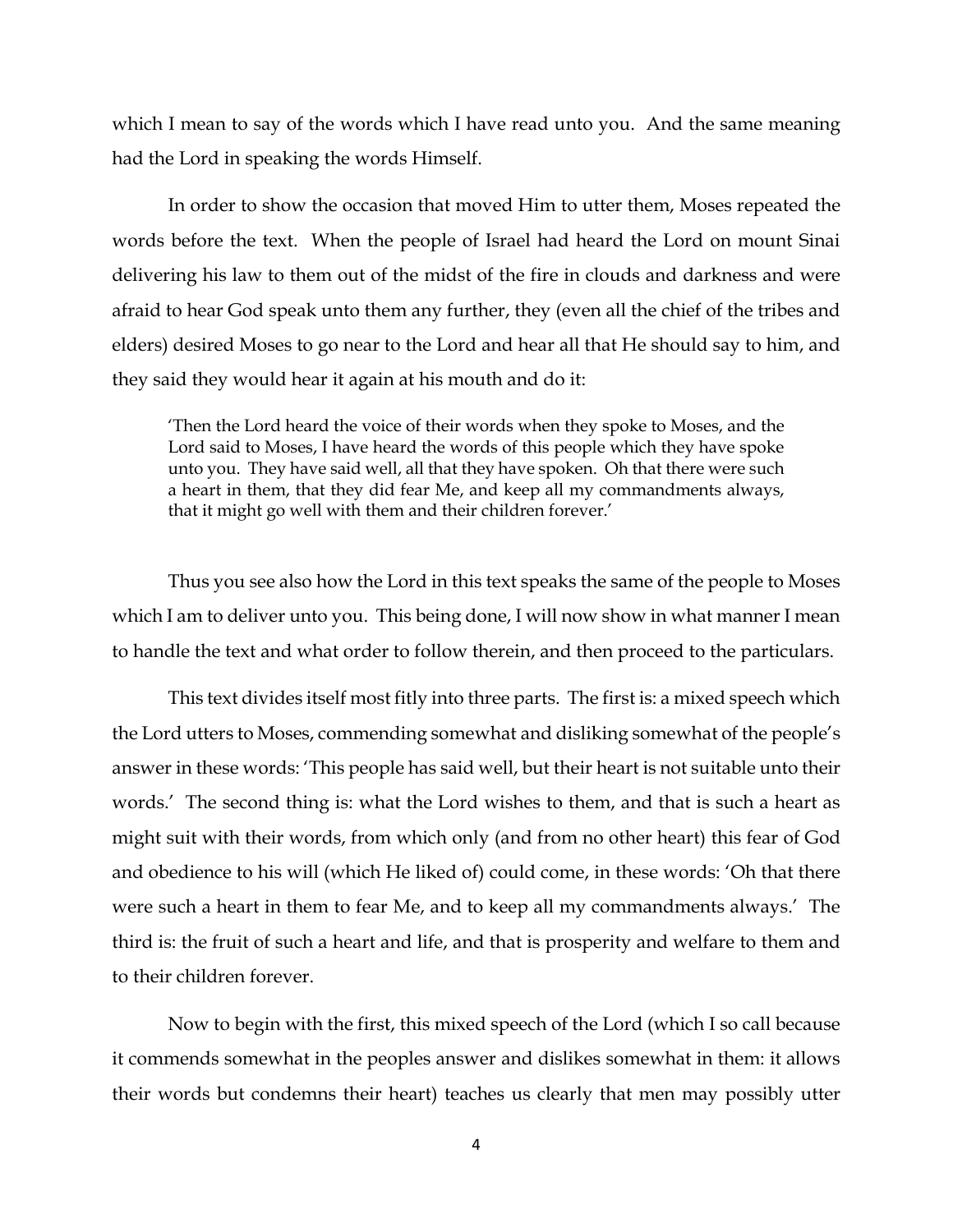which I mean to say of the words which I have read unto you. And the same meaning had the Lord in speaking the words Himself.

In order to show the occasion that moved Him to utter them, Moses repeated the words before the text. When the people of Israel had heard the Lord on mount Sinai delivering his law to them out of the midst of the fire in clouds and darkness and were afraid to hear God speak unto them any further, they (even all the chief of the tribes and elders) desired Moses to go near to the Lord and hear all that He should say to him, and they said they would hear it again at his mouth and do it:

'Then the Lord heard the voice of their words when they spoke to Moses, and the Lord said to Moses, I have heard the words of this people which they have spoke unto you. They have said well, all that they have spoken. Oh that there were such a heart in them, that they did fear Me, and keep all my commandments always, that it might go well with them and their children forever.'

Thus you see also how the Lord in this text speaks the same of the people to Moses which I am to deliver unto you. This being done, I will now show in what manner I mean to handle the text and what order to follow therein, and then proceed to the particulars.

This text divides itself most fitly into three parts. The first is: a mixed speech which the Lord utters to Moses, commending somewhat and disliking somewhat of the people's answer in these words: 'This people has said well, but their heart is not suitable unto their words.' The second thing is: what the Lord wishes to them, and that is such a heart as might suit with their words, from which only (and from no other heart) this fear of God and obedience to his will (which He liked of) could come, in these words: 'Oh that there were such a heart in them to fear Me, and to keep all my commandments always.' The third is: the fruit of such a heart and life, and that is prosperity and welfare to them and to their children forever.

Now to begin with the first, this mixed speech of the Lord (which I so call because it commends somewhat in the peoples answer and dislikes somewhat in them: it allows their words but condemns their heart) teaches us clearly that men may possibly utter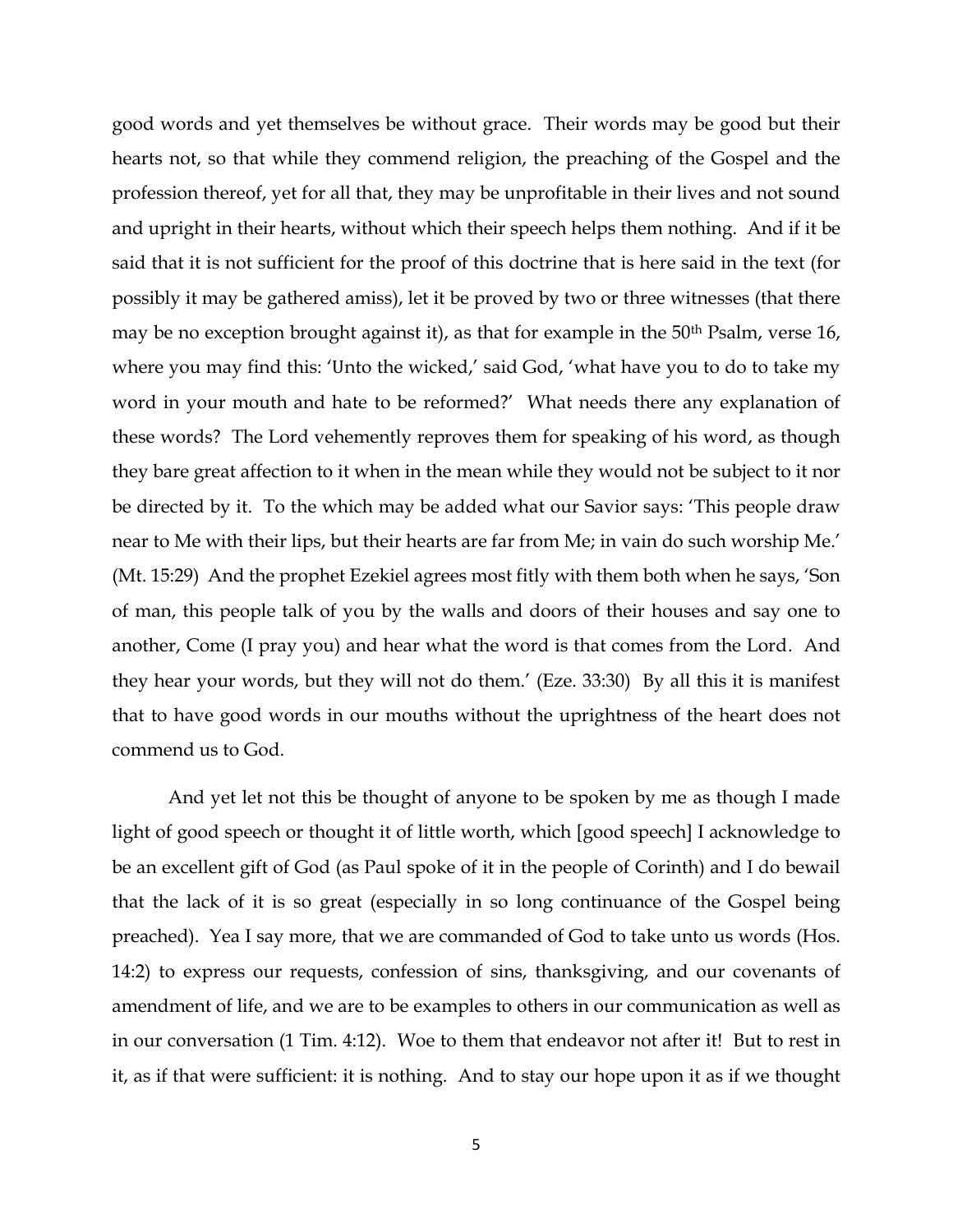good words and yet themselves be without grace. Their words may be good but their hearts not, so that while they commend religion, the preaching of the Gospel and the profession thereof, yet for all that, they may be unprofitable in their lives and not sound and upright in their hearts, without which their speech helps them nothing. And if it be said that it is not sufficient for the proof of this doctrine that is here said in the text (for possibly it may be gathered amiss), let it be proved by two or three witnesses (that there may be no exception brought against it), as that for example in the 50<sup>th</sup> Psalm, verse 16, where you may find this: 'Unto the wicked,' said God, 'what have you to do to take my word in your mouth and hate to be reformed?' What needs there any explanation of these words? The Lord vehemently reproves them for speaking of his word, as though they bare great affection to it when in the mean while they would not be subject to it nor be directed by it. To the which may be added what our Savior says: 'This people draw near to Me with their lips, but their hearts are far from Me; in vain do such worship Me.' (Mt. 15:29) And the prophet Ezekiel agrees most fitly with them both when he says, 'Son of man, this people talk of you by the walls and doors of their houses and say one to another, Come (I pray you) and hear what the word is that comes from the Lord. And they hear your words, but they will not do them.' (Eze. 33:30) By all this it is manifest that to have good words in our mouths without the uprightness of the heart does not commend us to God.

And yet let not this be thought of anyone to be spoken by me as though I made light of good speech or thought it of little worth, which [good speech] I acknowledge to be an excellent gift of God (as Paul spoke of it in the people of Corinth) and I do bewail that the lack of it is so great (especially in so long continuance of the Gospel being preached). Yea I say more, that we are commanded of God to take unto us words (Hos. 14:2) to express our requests, confession of sins, thanksgiving, and our covenants of amendment of life, and we are to be examples to others in our communication as well as in our conversation (1 Tim. 4:12). Woe to them that endeavor not after it! But to rest in it, as if that were sufficient: it is nothing. And to stay our hope upon it as if we thought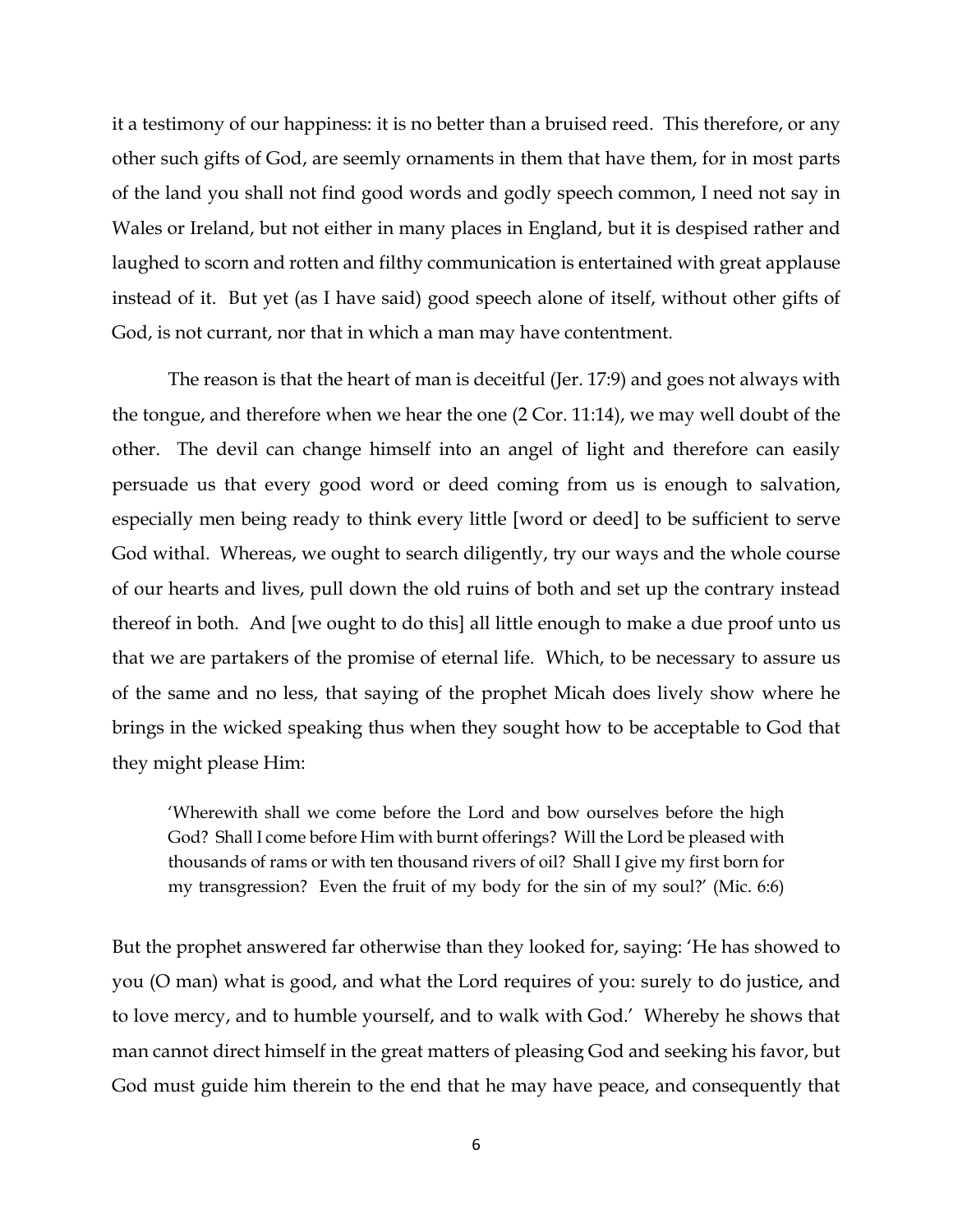it a testimony of our happiness: it is no better than a bruised reed. This therefore, or any other such gifts of God, are seemly ornaments in them that have them, for in most parts of the land you shall not find good words and godly speech common, I need not say in Wales or Ireland, but not either in many places in England, but it is despised rather and laughed to scorn and rotten and filthy communication is entertained with great applause instead of it. But yet (as I have said) good speech alone of itself, without other gifts of God, is not currant, nor that in which a man may have contentment.

The reason is that the heart of man is deceitful (Jer. 17:9) and goes not always with the tongue, and therefore when we hear the one (2 Cor. 11:14), we may well doubt of the other. The devil can change himself into an angel of light and therefore can easily persuade us that every good word or deed coming from us is enough to salvation, especially men being ready to think every little [word or deed] to be sufficient to serve God withal. Whereas, we ought to search diligently, try our ways and the whole course of our hearts and lives, pull down the old ruins of both and set up the contrary instead thereof in both. And [we ought to do this] all little enough to make a due proof unto us that we are partakers of the promise of eternal life. Which, to be necessary to assure us of the same and no less, that saying of the prophet Micah does lively show where he brings in the wicked speaking thus when they sought how to be acceptable to God that they might please Him:

'Wherewith shall we come before the Lord and bow ourselves before the high God? Shall I come before Him with burnt offerings? Will the Lord be pleased with thousands of rams or with ten thousand rivers of oil? Shall I give my first born for my transgression? Even the fruit of my body for the sin of my soul?' (Mic. 6:6)

But the prophet answered far otherwise than they looked for, saying: 'He has showed to you (O man) what is good, and what the Lord requires of you: surely to do justice, and to love mercy, and to humble yourself, and to walk with God.' Whereby he shows that man cannot direct himself in the great matters of pleasing God and seeking his favor, but God must guide him therein to the end that he may have peace, and consequently that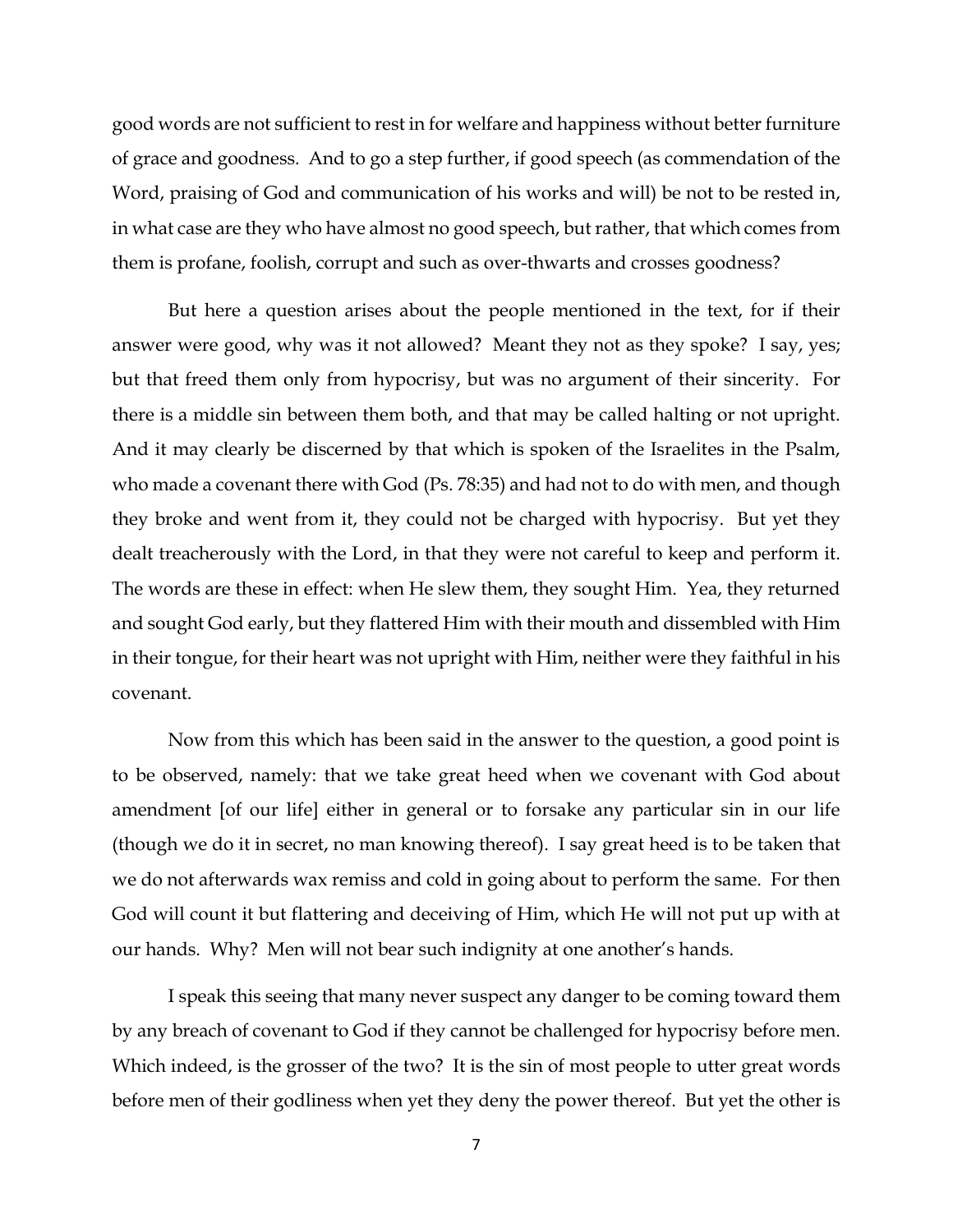good words are not sufficient to rest in for welfare and happiness without better furniture of grace and goodness. And to go a step further, if good speech (as commendation of the Word, praising of God and communication of his works and will) be not to be rested in, in what case are they who have almost no good speech, but rather, that which comes from them is profane, foolish, corrupt and such as over-thwarts and crosses goodness?

But here a question arises about the people mentioned in the text, for if their answer were good, why was it not allowed? Meant they not as they spoke? I say, yes; but that freed them only from hypocrisy, but was no argument of their sincerity. For there is a middle sin between them both, and that may be called halting or not upright. And it may clearly be discerned by that which is spoken of the Israelites in the Psalm, who made a covenant there with God (Ps. 78:35) and had not to do with men, and though they broke and went from it, they could not be charged with hypocrisy. But yet they dealt treacherously with the Lord, in that they were not careful to keep and perform it. The words are these in effect: when He slew them, they sought Him. Yea, they returned and sought God early, but they flattered Him with their mouth and dissembled with Him in their tongue, for their heart was not upright with Him, neither were they faithful in his covenant.

Now from this which has been said in the answer to the question, a good point is to be observed, namely: that we take great heed when we covenant with God about amendment [of our life] either in general or to forsake any particular sin in our life (though we do it in secret, no man knowing thereof). I say great heed is to be taken that we do not afterwards wax remiss and cold in going about to perform the same. For then God will count it but flattering and deceiving of Him, which He will not put up with at our hands. Why? Men will not bear such indignity at one another's hands.

I speak this seeing that many never suspect any danger to be coming toward them by any breach of covenant to God if they cannot be challenged for hypocrisy before men. Which indeed, is the grosser of the two? It is the sin of most people to utter great words before men of their godliness when yet they deny the power thereof. But yet the other is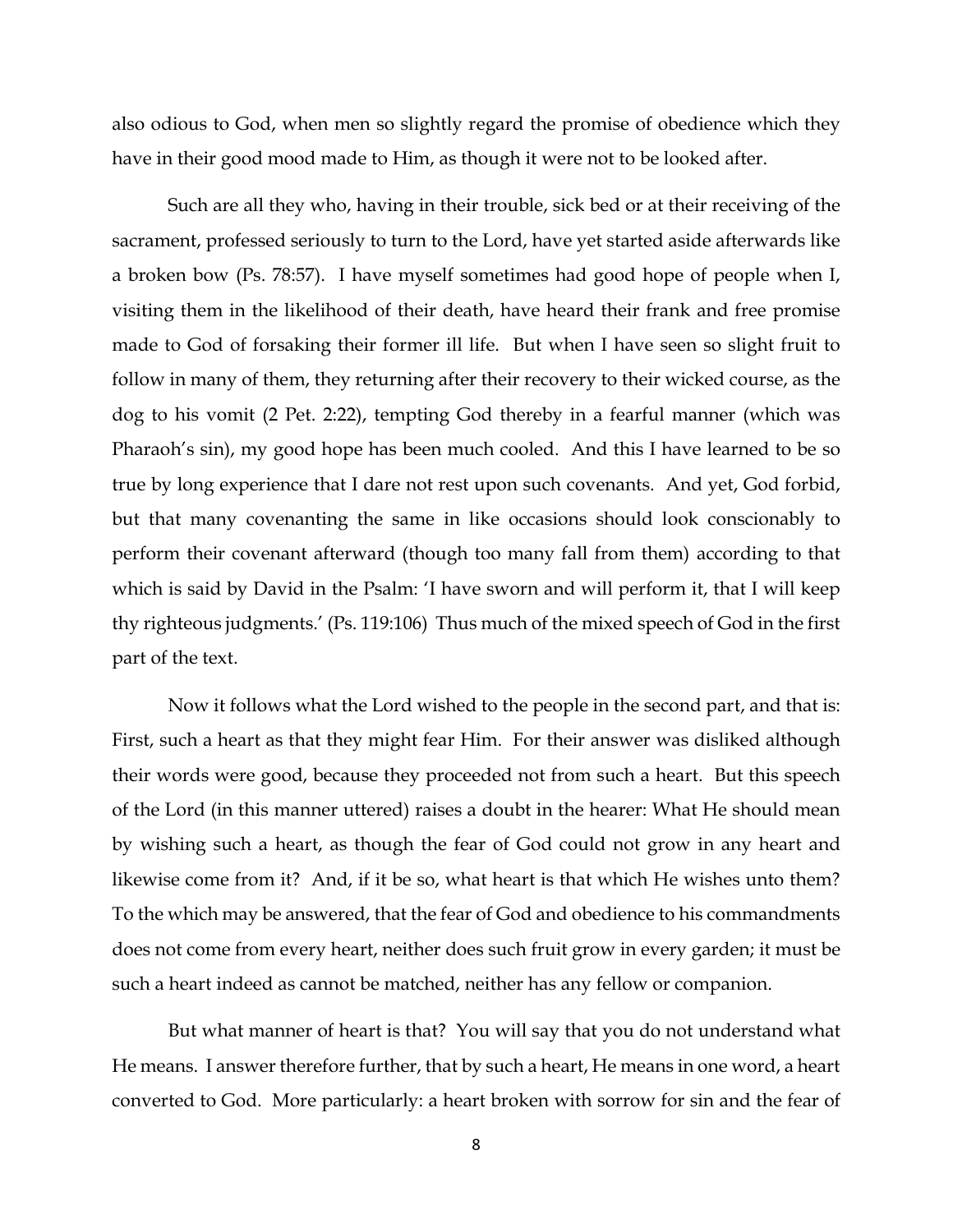also odious to God, when men so slightly regard the promise of obedience which they have in their good mood made to Him, as though it were not to be looked after.

Such are all they who, having in their trouble, sick bed or at their receiving of the sacrament, professed seriously to turn to the Lord, have yet started aside afterwards like a broken bow (Ps. 78:57). I have myself sometimes had good hope of people when I, visiting them in the likelihood of their death, have heard their frank and free promise made to God of forsaking their former ill life. But when I have seen so slight fruit to follow in many of them, they returning after their recovery to their wicked course, as the dog to his vomit (2 Pet. 2:22), tempting God thereby in a fearful manner (which was Pharaoh's sin), my good hope has been much cooled. And this I have learned to be so true by long experience that I dare not rest upon such covenants. And yet, God forbid, but that many covenanting the same in like occasions should look conscionably to perform their covenant afterward (though too many fall from them) according to that which is said by David in the Psalm: 'I have sworn and will perform it, that I will keep thy righteous judgments.' (Ps. 119:106) Thus much of the mixed speech of God in the first part of the text.

Now it follows what the Lord wished to the people in the second part, and that is: First, such a heart as that they might fear Him. For their answer was disliked although their words were good, because they proceeded not from such a heart. But this speech of the Lord (in this manner uttered) raises a doubt in the hearer: What He should mean by wishing such a heart, as though the fear of God could not grow in any heart and likewise come from it? And, if it be so, what heart is that which He wishes unto them? To the which may be answered, that the fear of God and obedience to his commandments does not come from every heart, neither does such fruit grow in every garden; it must be such a heart indeed as cannot be matched, neither has any fellow or companion.

But what manner of heart is that? You will say that you do not understand what He means. I answer therefore further, that by such a heart, He means in one word, a heart converted to God. More particularly: a heart broken with sorrow for sin and the fear of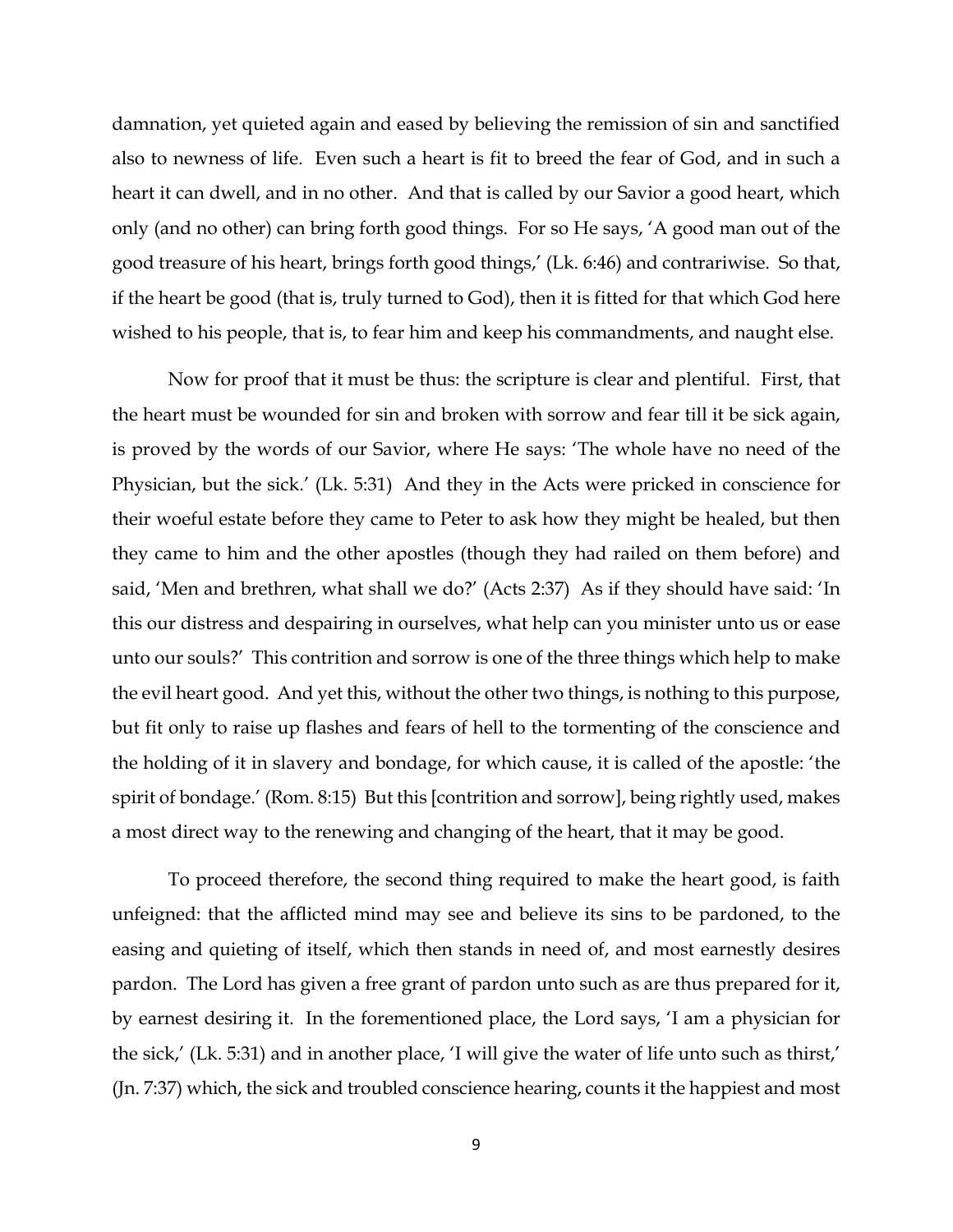damnation, yet quieted again and eased by believing the remission of sin and sanctified also to newness of life. Even such a heart is fit to breed the fear of God, and in such a heart it can dwell, and in no other. And that is called by our Savior a good heart, which only (and no other) can bring forth good things. For so He says, 'A good man out of the good treasure of his heart, brings forth good things,' (Lk. 6:46) and contrariwise. So that, if the heart be good (that is, truly turned to God), then it is fitted for that which God here wished to his people, that is, to fear him and keep his commandments, and naught else.

Now for proof that it must be thus: the scripture is clear and plentiful. First, that the heart must be wounded for sin and broken with sorrow and fear till it be sick again, is proved by the words of our Savior, where He says: 'The whole have no need of the Physician, but the sick.' (Lk. 5:31) And they in the Acts were pricked in conscience for their woeful estate before they came to Peter to ask how they might be healed, but then they came to him and the other apostles (though they had railed on them before) and said, 'Men and brethren, what shall we do?' (Acts 2:37) As if they should have said: 'In this our distress and despairing in ourselves, what help can you minister unto us or ease unto our souls?' This contrition and sorrow is one of the three things which help to make the evil heart good. And yet this, without the other two things, is nothing to this purpose, but fit only to raise up flashes and fears of hell to the tormenting of the conscience and the holding of it in slavery and bondage, for which cause, it is called of the apostle: 'the spirit of bondage.' (Rom. 8:15) But this [contrition and sorrow], being rightly used, makes a most direct way to the renewing and changing of the heart, that it may be good.

To proceed therefore, the second thing required to make the heart good, is faith unfeigned: that the afflicted mind may see and believe its sins to be pardoned, to the easing and quieting of itself, which then stands in need of, and most earnestly desires pardon. The Lord has given a free grant of pardon unto such as are thus prepared for it, by earnest desiring it. In the forementioned place, the Lord says, 'I am a physician for the sick,' (Lk. 5:31) and in another place, 'I will give the water of life unto such as thirst,' (Jn. 7:37) which, the sick and troubled conscience hearing, counts it the happiest and most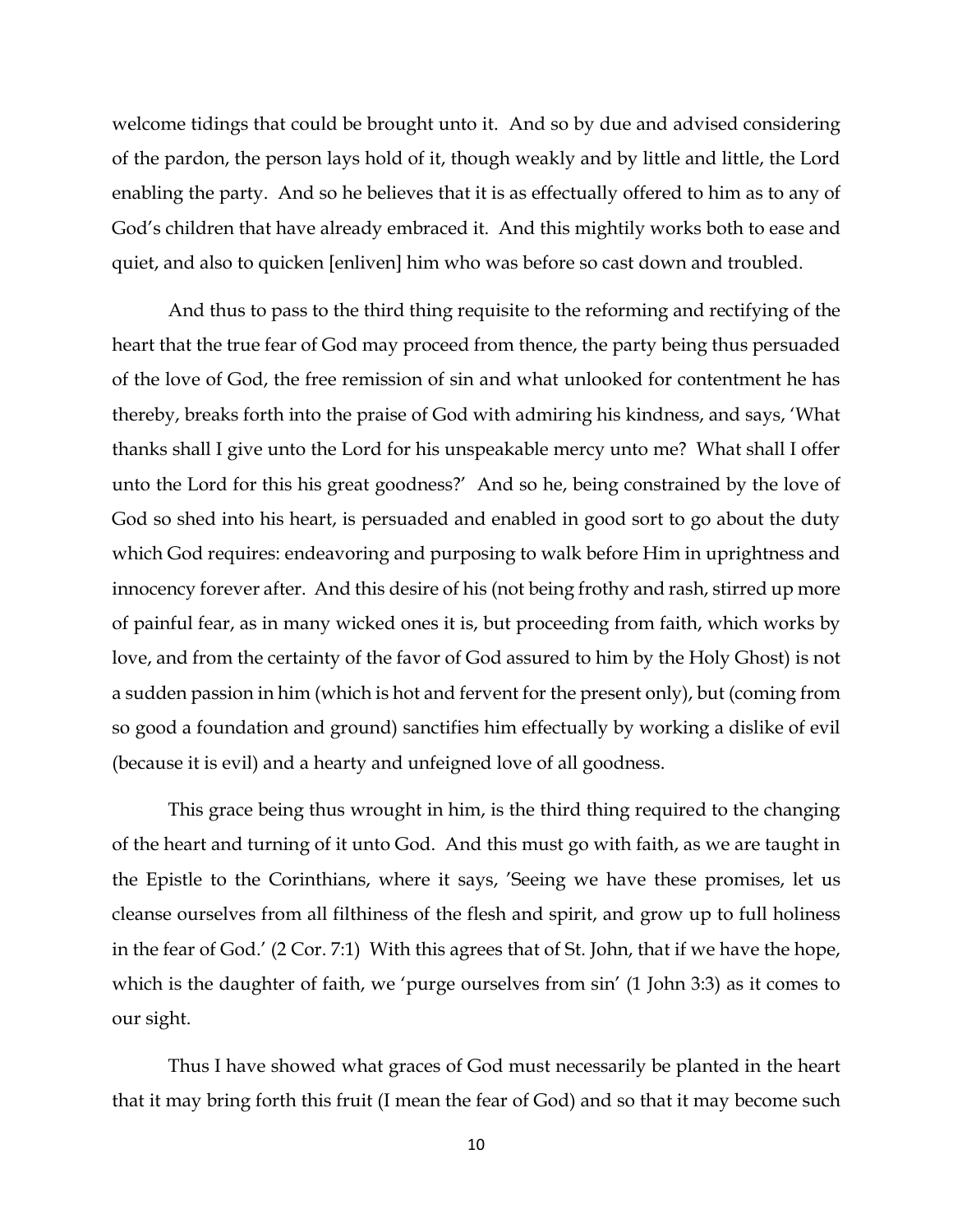welcome tidings that could be brought unto it. And so by due and advised considering of the pardon, the person lays hold of it, though weakly and by little and little, the Lord enabling the party. And so he believes that it is as effectually offered to him as to any of God's children that have already embraced it. And this mightily works both to ease and quiet, and also to quicken [enliven] him who was before so cast down and troubled.

And thus to pass to the third thing requisite to the reforming and rectifying of the heart that the true fear of God may proceed from thence, the party being thus persuaded of the love of God, the free remission of sin and what unlooked for contentment he has thereby, breaks forth into the praise of God with admiring his kindness, and says, 'What thanks shall I give unto the Lord for his unspeakable mercy unto me? What shall I offer unto the Lord for this his great goodness?' And so he, being constrained by the love of God so shed into his heart, is persuaded and enabled in good sort to go about the duty which God requires: endeavoring and purposing to walk before Him in uprightness and innocency forever after. And this desire of his (not being frothy and rash, stirred up more of painful fear, as in many wicked ones it is, but proceeding from faith, which works by love, and from the certainty of the favor of God assured to him by the Holy Ghost) is not a sudden passion in him (which is hot and fervent for the present only), but (coming from so good a foundation and ground) sanctifies him effectually by working a dislike of evil (because it is evil) and a hearty and unfeigned love of all goodness.

This grace being thus wrought in him, is the third thing required to the changing of the heart and turning of it unto God. And this must go with faith, as we are taught in the Epistle to the Corinthians, where it says, 'Seeing we have these promises, let us cleanse ourselves from all filthiness of the flesh and spirit, and grow up to full holiness in the fear of God.' (2 Cor. 7:1) With this agrees that of St. John, that if we have the hope, which is the daughter of faith, we 'purge ourselves from sin' (1 John 3:3) as it comes to our sight.

Thus I have showed what graces of God must necessarily be planted in the heart that it may bring forth this fruit (I mean the fear of God) and so that it may become such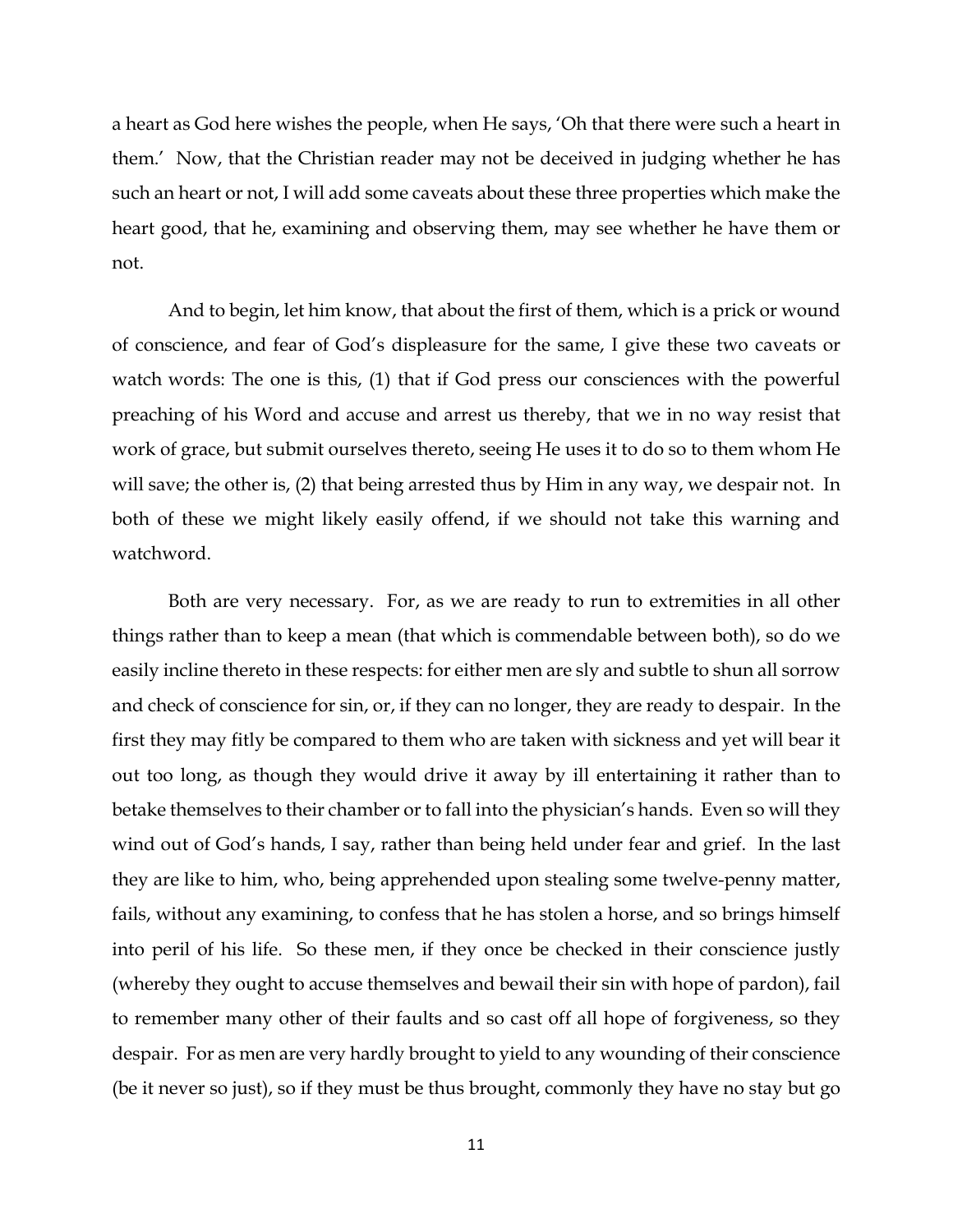a heart as God here wishes the people, when He says, 'Oh that there were such a heart in them.' Now, that the Christian reader may not be deceived in judging whether he has such an heart or not, I will add some caveats about these three properties which make the heart good, that he, examining and observing them, may see whether he have them or not.

And to begin, let him know, that about the first of them, which is a prick or wound of conscience, and fear of God's displeasure for the same, I give these two caveats or watch words: The one is this, (1) that if God press our consciences with the powerful preaching of his Word and accuse and arrest us thereby, that we in no way resist that work of grace, but submit ourselves thereto, seeing He uses it to do so to them whom He will save; the other is, (2) that being arrested thus by Him in any way, we despair not. In both of these we might likely easily offend, if we should not take this warning and watchword.

Both are very necessary. For, as we are ready to run to extremities in all other things rather than to keep a mean (that which is commendable between both), so do we easily incline thereto in these respects: for either men are sly and subtle to shun all sorrow and check of conscience for sin, or, if they can no longer, they are ready to despair. In the first they may fitly be compared to them who are taken with sickness and yet will bear it out too long, as though they would drive it away by ill entertaining it rather than to betake themselves to their chamber or to fall into the physician's hands. Even so will they wind out of God's hands, I say, rather than being held under fear and grief. In the last they are like to him, who, being apprehended upon stealing some twelve-penny matter, fails, without any examining, to confess that he has stolen a horse, and so brings himself into peril of his life. So these men, if they once be checked in their conscience justly (whereby they ought to accuse themselves and bewail their sin with hope of pardon), fail to remember many other of their faults and so cast off all hope of forgiveness, so they despair. For as men are very hardly brought to yield to any wounding of their conscience (be it never so just), so if they must be thus brought, commonly they have no stay but go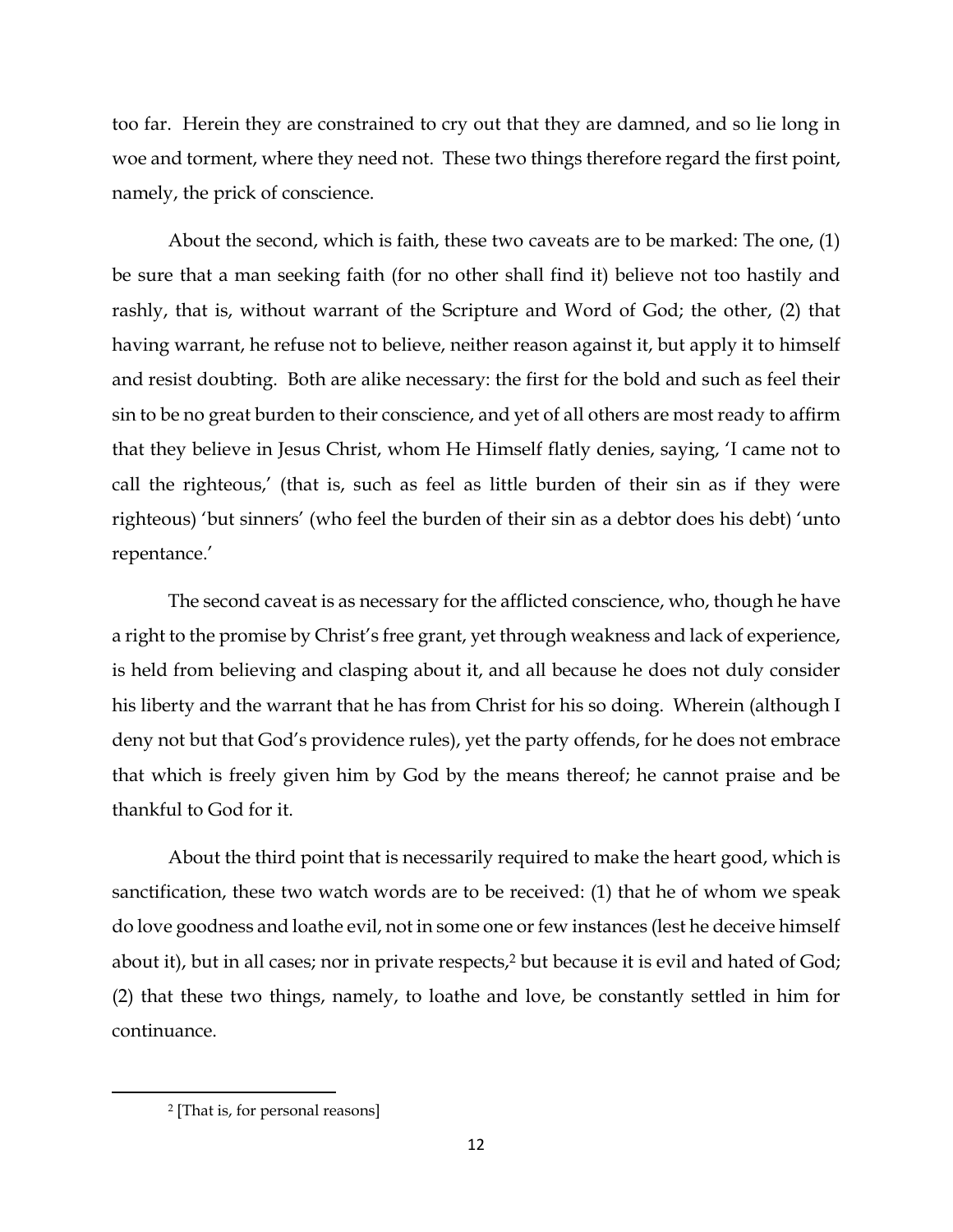too far. Herein they are constrained to cry out that they are damned, and so lie long in woe and torment, where they need not. These two things therefore regard the first point, namely, the prick of conscience.

About the second, which is faith, these two caveats are to be marked: The one, (1) be sure that a man seeking faith (for no other shall find it) believe not too hastily and rashly, that is, without warrant of the Scripture and Word of God; the other, (2) that having warrant, he refuse not to believe, neither reason against it, but apply it to himself and resist doubting. Both are alike necessary: the first for the bold and such as feel their sin to be no great burden to their conscience, and yet of all others are most ready to affirm that they believe in Jesus Christ, whom He Himself flatly denies, saying, 'I came not to call the righteous,' (that is, such as feel as little burden of their sin as if they were righteous) 'but sinners' (who feel the burden of their sin as a debtor does his debt) 'unto repentance.'

The second caveat is as necessary for the afflicted conscience, who, though he have a right to the promise by Christ's free grant, yet through weakness and lack of experience, is held from believing and clasping about it, and all because he does not duly consider his liberty and the warrant that he has from Christ for his so doing. Wherein (although I deny not but that God's providence rules), yet the party offends, for he does not embrace that which is freely given him by God by the means thereof; he cannot praise and be thankful to God for it.

About the third point that is necessarily required to make the heart good, which is sanctification, these two watch words are to be received: (1) that he of whom we speak do love goodness and loathe evil, not in some one or few instances (lest he deceive himself about it), but in all cases; nor in private respects,<sup>2</sup> but because it is evil and hated of God; (2) that these two things, namely, to loathe and love, be constantly settled in him for continuance.

l

<sup>2</sup> [That is, for personal reasons]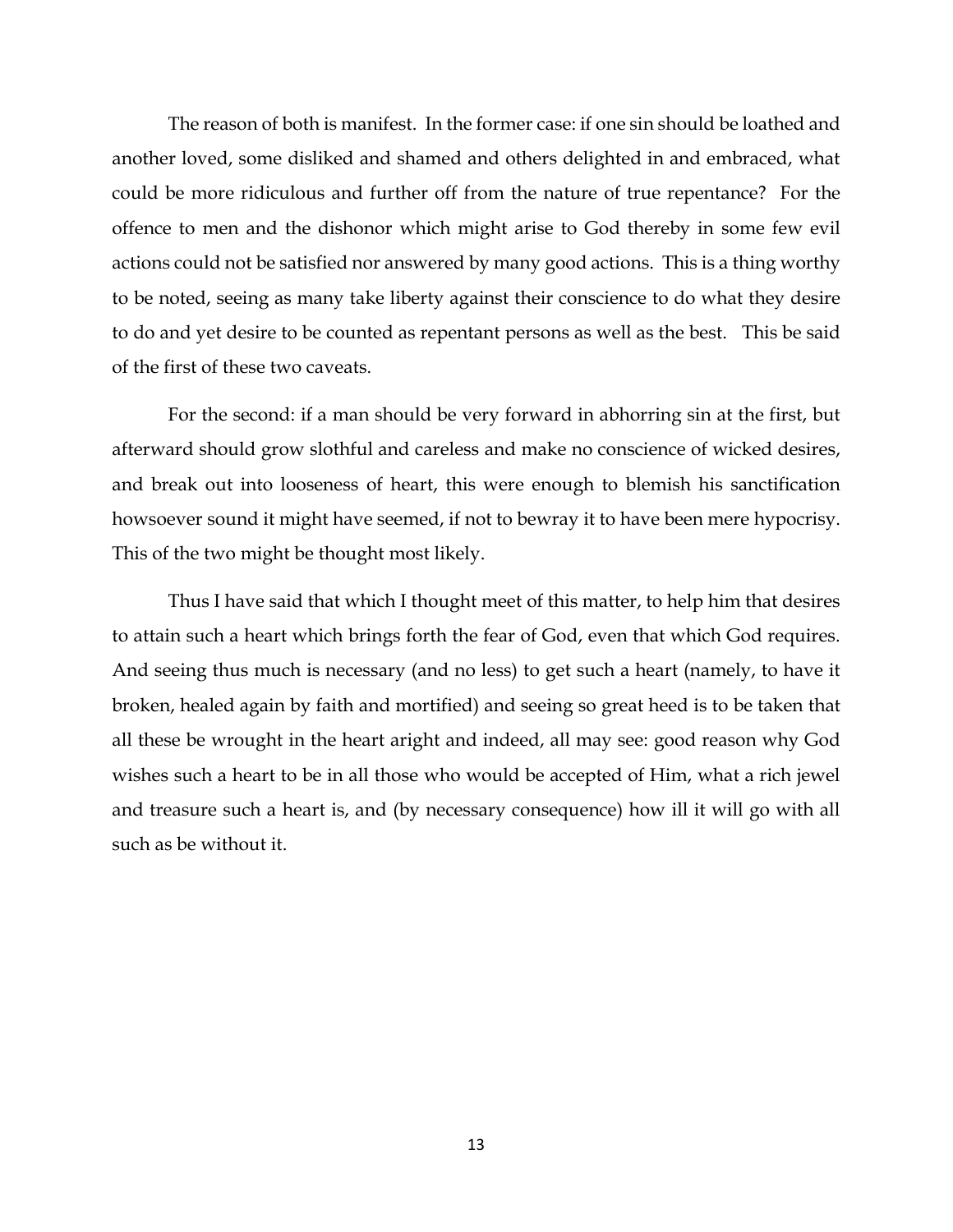The reason of both is manifest. In the former case: if one sin should be loathed and another loved, some disliked and shamed and others delighted in and embraced, what could be more ridiculous and further off from the nature of true repentance? For the offence to men and the dishonor which might arise to God thereby in some few evil actions could not be satisfied nor answered by many good actions. This is a thing worthy to be noted, seeing as many take liberty against their conscience to do what they desire to do and yet desire to be counted as repentant persons as well as the best. This be said of the first of these two caveats.

For the second: if a man should be very forward in abhorring sin at the first, but afterward should grow slothful and careless and make no conscience of wicked desires, and break out into looseness of heart, this were enough to blemish his sanctification howsoever sound it might have seemed, if not to bewray it to have been mere hypocrisy. This of the two might be thought most likely.

Thus I have said that which I thought meet of this matter, to help him that desires to attain such a heart which brings forth the fear of God, even that which God requires. And seeing thus much is necessary (and no less) to get such a heart (namely, to have it broken, healed again by faith and mortified) and seeing so great heed is to be taken that all these be wrought in the heart aright and indeed, all may see: good reason why God wishes such a heart to be in all those who would be accepted of Him, what a rich jewel and treasure such a heart is, and (by necessary consequence) how ill it will go with all such as be without it.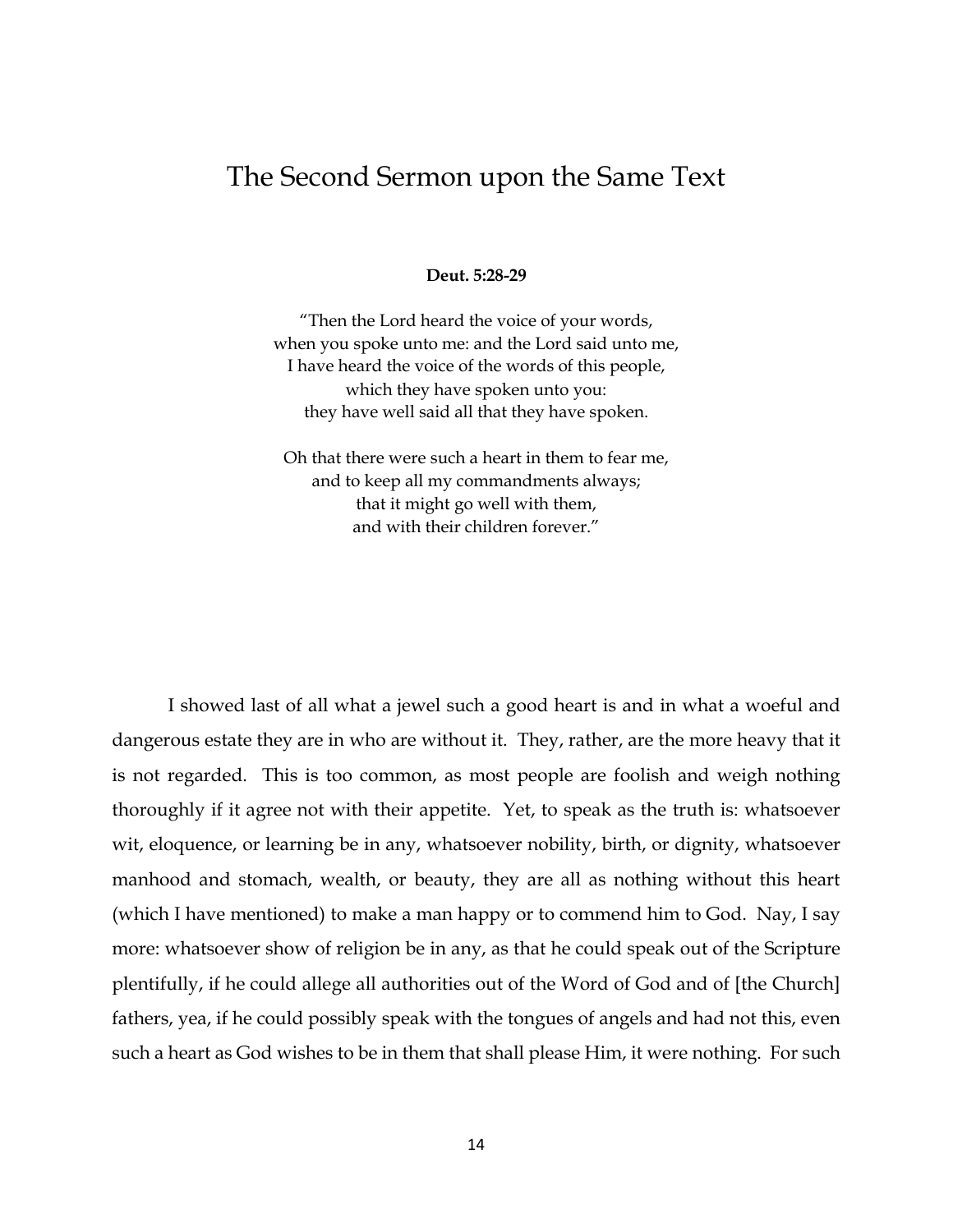## The Second Sermon upon the Same Text

**Deut. 5:28-29**

"Then the Lord heard the voice of your words, when you spoke unto me: and the Lord said unto me, I have heard the voice of the words of this people, which they have spoken unto you: they have well said all that they have spoken.

Oh that there were such a heart in them to fear me, and to keep all my commandments always; that it might go well with them, and with their children forever."

I showed last of all what a jewel such a good heart is and in what a woeful and dangerous estate they are in who are without it. They, rather, are the more heavy that it is not regarded. This is too common, as most people are foolish and weigh nothing thoroughly if it agree not with their appetite. Yet, to speak as the truth is: whatsoever wit, eloquence, or learning be in any, whatsoever nobility, birth, or dignity, whatsoever manhood and stomach, wealth, or beauty, they are all as nothing without this heart (which I have mentioned) to make a man happy or to commend him to God. Nay, I say more: whatsoever show of religion be in any, as that he could speak out of the Scripture plentifully, if he could allege all authorities out of the Word of God and of [the Church] fathers, yea, if he could possibly speak with the tongues of angels and had not this, even such a heart as God wishes to be in them that shall please Him, it were nothing. For such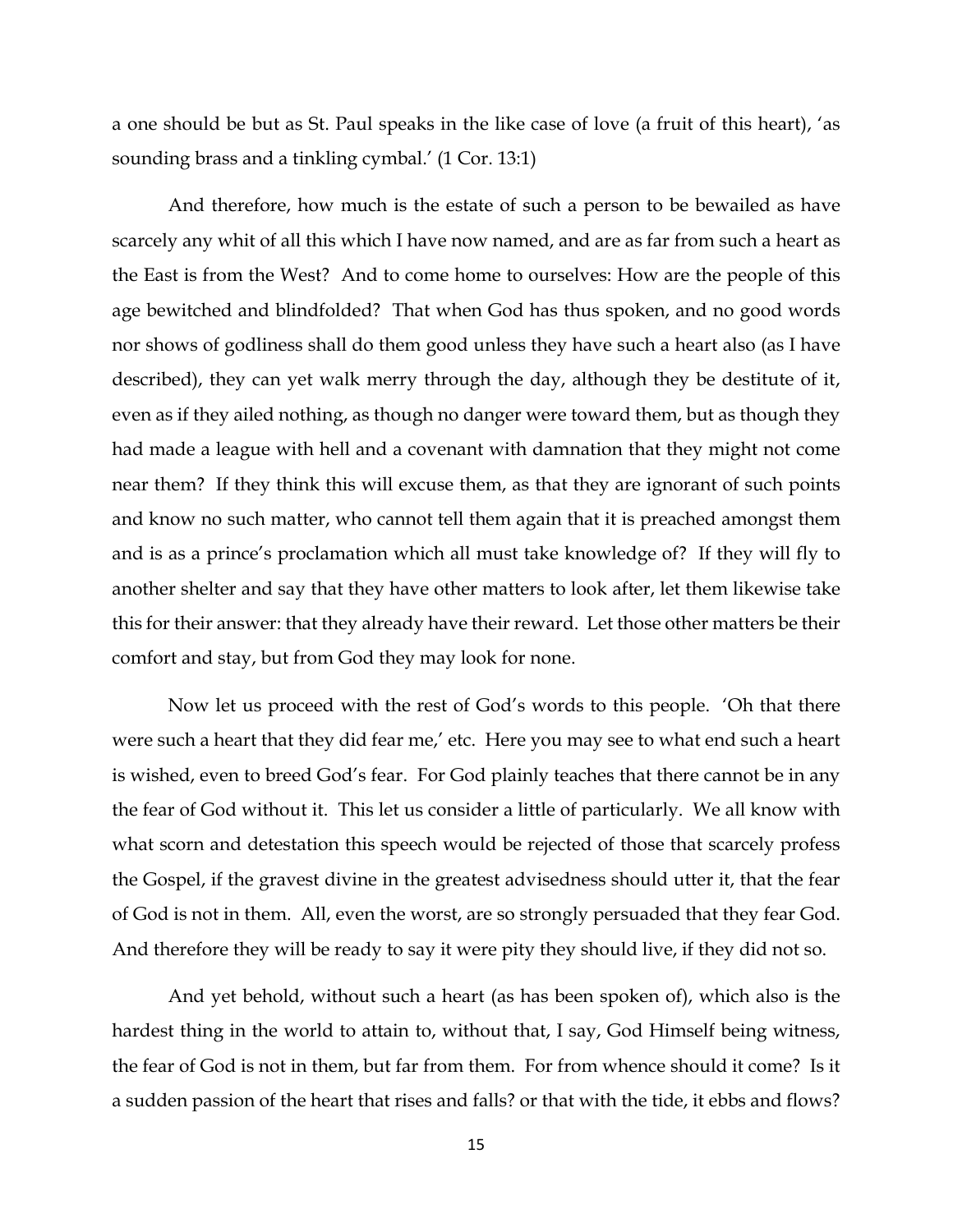a one should be but as St. Paul speaks in the like case of love (a fruit of this heart), 'as sounding brass and a tinkling cymbal.' (1 Cor. 13:1)

And therefore, how much is the estate of such a person to be bewailed as have scarcely any whit of all this which I have now named, and are as far from such a heart as the East is from the West? And to come home to ourselves: How are the people of this age bewitched and blindfolded? That when God has thus spoken, and no good words nor shows of godliness shall do them good unless they have such a heart also (as I have described), they can yet walk merry through the day, although they be destitute of it, even as if they ailed nothing, as though no danger were toward them, but as though they had made a league with hell and a covenant with damnation that they might not come near them? If they think this will excuse them, as that they are ignorant of such points and know no such matter, who cannot tell them again that it is preached amongst them and is as a prince's proclamation which all must take knowledge of? If they will fly to another shelter and say that they have other matters to look after, let them likewise take this for their answer: that they already have their reward. Let those other matters be their comfort and stay, but from God they may look for none.

Now let us proceed with the rest of God's words to this people. 'Oh that there were such a heart that they did fear me,' etc. Here you may see to what end such a heart is wished, even to breed God's fear. For God plainly teaches that there cannot be in any the fear of God without it. This let us consider a little of particularly. We all know with what scorn and detestation this speech would be rejected of those that scarcely profess the Gospel, if the gravest divine in the greatest advisedness should utter it, that the fear of God is not in them. All, even the worst, are so strongly persuaded that they fear God. And therefore they will be ready to say it were pity they should live, if they did not so.

And yet behold, without such a heart (as has been spoken of), which also is the hardest thing in the world to attain to, without that, I say, God Himself being witness, the fear of God is not in them, but far from them. For from whence should it come? Is it a sudden passion of the heart that rises and falls? or that with the tide, it ebbs and flows?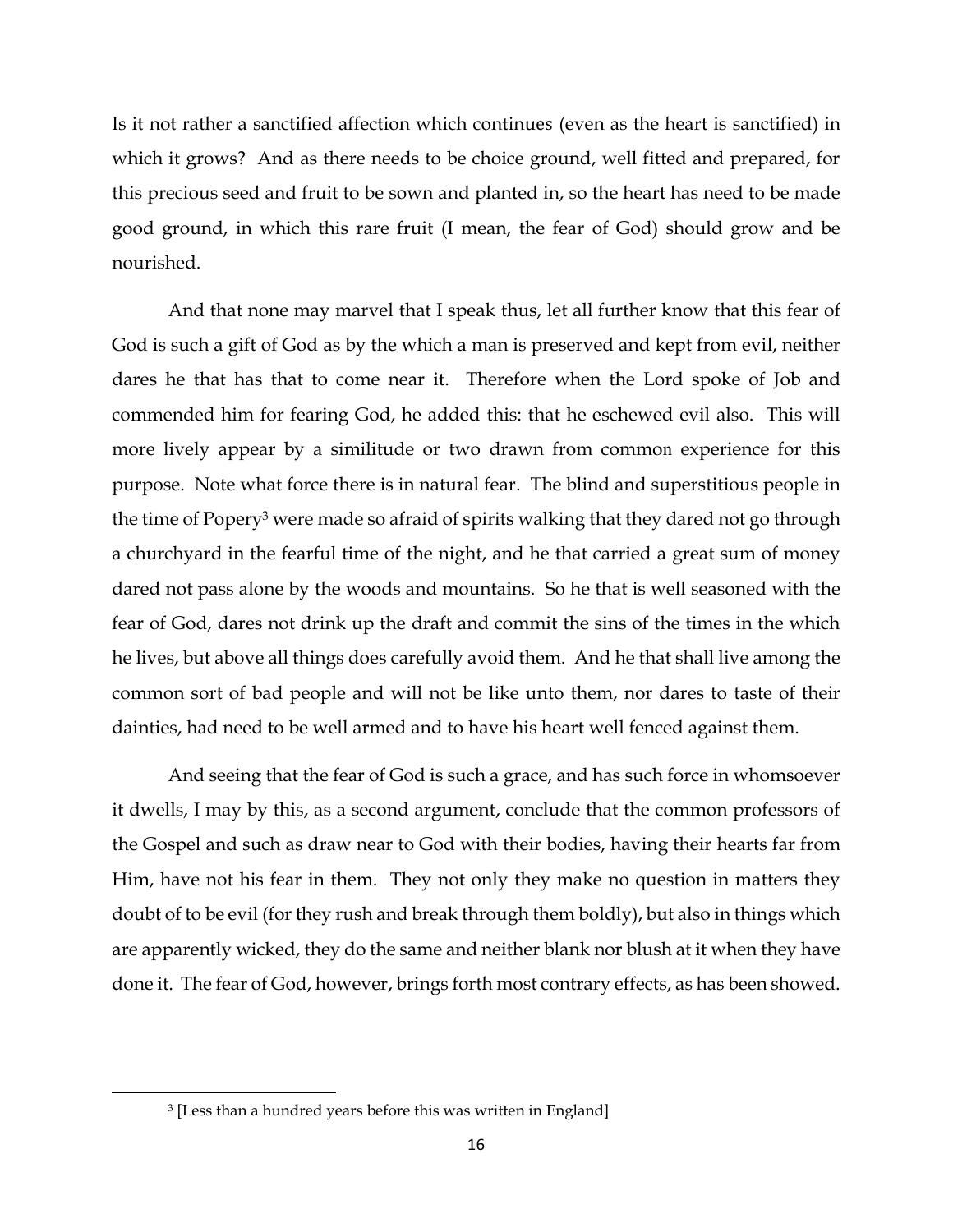Is it not rather a sanctified affection which continues (even as the heart is sanctified) in which it grows? And as there needs to be choice ground, well fitted and prepared, for this precious seed and fruit to be sown and planted in, so the heart has need to be made good ground, in which this rare fruit (I mean, the fear of God) should grow and be nourished.

And that none may marvel that I speak thus, let all further know that this fear of God is such a gift of God as by the which a man is preserved and kept from evil, neither dares he that has that to come near it. Therefore when the Lord spoke of Job and commended him for fearing God, he added this: that he eschewed evil also. This will more lively appear by a similitude or two drawn from common experience for this purpose. Note what force there is in natural fear. The blind and superstitious people in the time of Popery<sup>3</sup> were made so afraid of spirits walking that they dared not go through a churchyard in the fearful time of the night, and he that carried a great sum of money dared not pass alone by the woods and mountains. So he that is well seasoned with the fear of God, dares not drink up the draft and commit the sins of the times in the which he lives, but above all things does carefully avoid them. And he that shall live among the common sort of bad people and will not be like unto them, nor dares to taste of their dainties, had need to be well armed and to have his heart well fenced against them.

And seeing that the fear of God is such a grace, and has such force in whomsoever it dwells, I may by this, as a second argument, conclude that the common professors of the Gospel and such as draw near to God with their bodies, having their hearts far from Him, have not his fear in them. They not only they make no question in matters they doubt of to be evil (for they rush and break through them boldly), but also in things which are apparently wicked, they do the same and neither blank nor blush at it when they have done it. The fear of God, however, brings forth most contrary effects, as has been showed.

l

<sup>3</sup> [Less than a hundred years before this was written in England]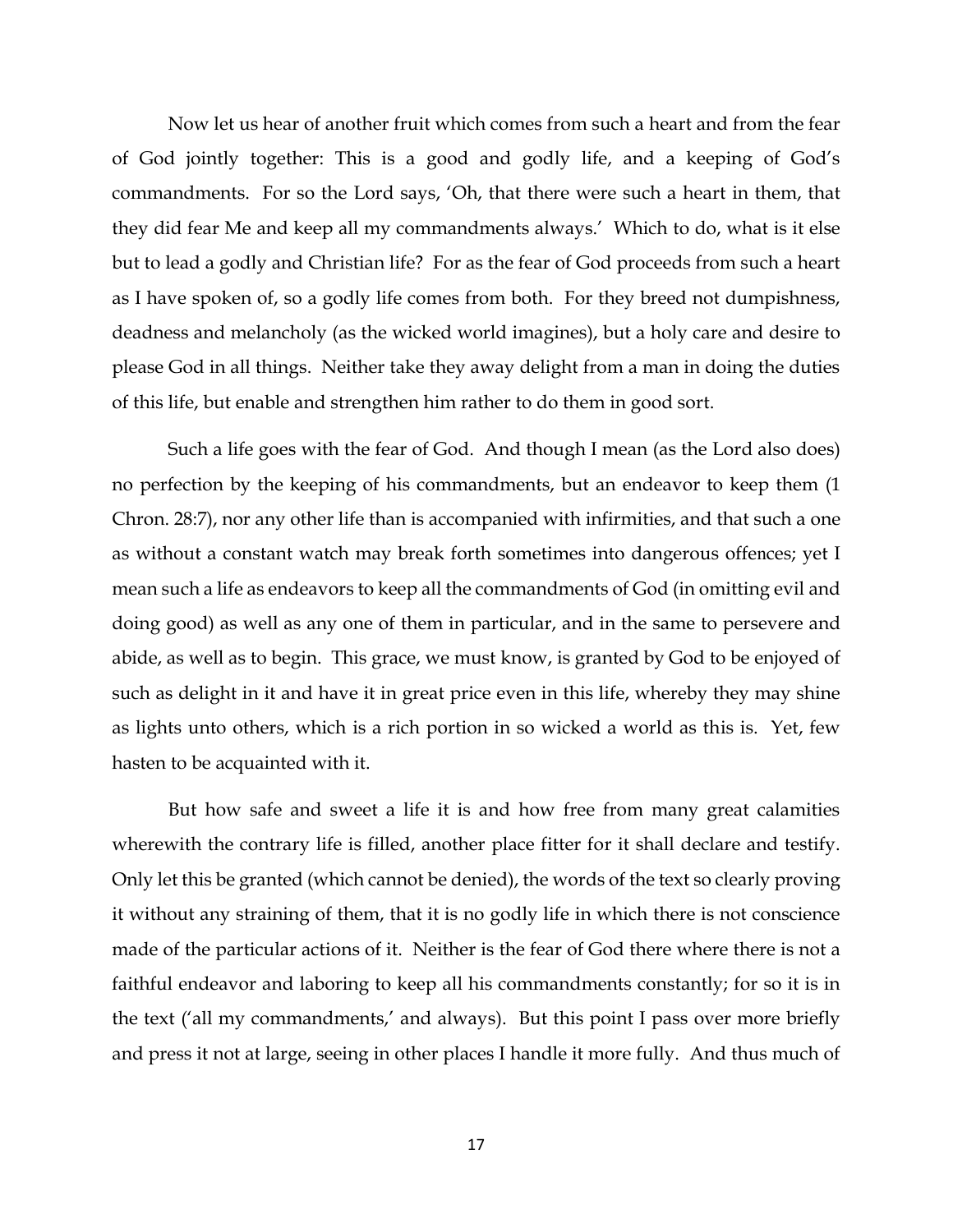Now let us hear of another fruit which comes from such a heart and from the fear of God jointly together: This is a good and godly life, and a keeping of God's commandments. For so the Lord says, 'Oh, that there were such a heart in them, that they did fear Me and keep all my commandments always.' Which to do, what is it else but to lead a godly and Christian life? For as the fear of God proceeds from such a heart as I have spoken of, so a godly life comes from both. For they breed not dumpishness, deadness and melancholy (as the wicked world imagines), but a holy care and desire to please God in all things. Neither take they away delight from a man in doing the duties of this life, but enable and strengthen him rather to do them in good sort.

Such a life goes with the fear of God. And though I mean (as the Lord also does) no perfection by the keeping of his commandments, but an endeavor to keep them (1 Chron. 28:7), nor any other life than is accompanied with infirmities, and that such a one as without a constant watch may break forth sometimes into dangerous offences; yet I mean such a life as endeavors to keep all the commandments of God (in omitting evil and doing good) as well as any one of them in particular, and in the same to persevere and abide, as well as to begin. This grace, we must know, is granted by God to be enjoyed of such as delight in it and have it in great price even in this life, whereby they may shine as lights unto others, which is a rich portion in so wicked a world as this is. Yet, few hasten to be acquainted with it.

But how safe and sweet a life it is and how free from many great calamities wherewith the contrary life is filled, another place fitter for it shall declare and testify. Only let this be granted (which cannot be denied), the words of the text so clearly proving it without any straining of them, that it is no godly life in which there is not conscience made of the particular actions of it. Neither is the fear of God there where there is not a faithful endeavor and laboring to keep all his commandments constantly; for so it is in the text ('all my commandments,' and always). But this point I pass over more briefly and press it not at large, seeing in other places I handle it more fully. And thus much of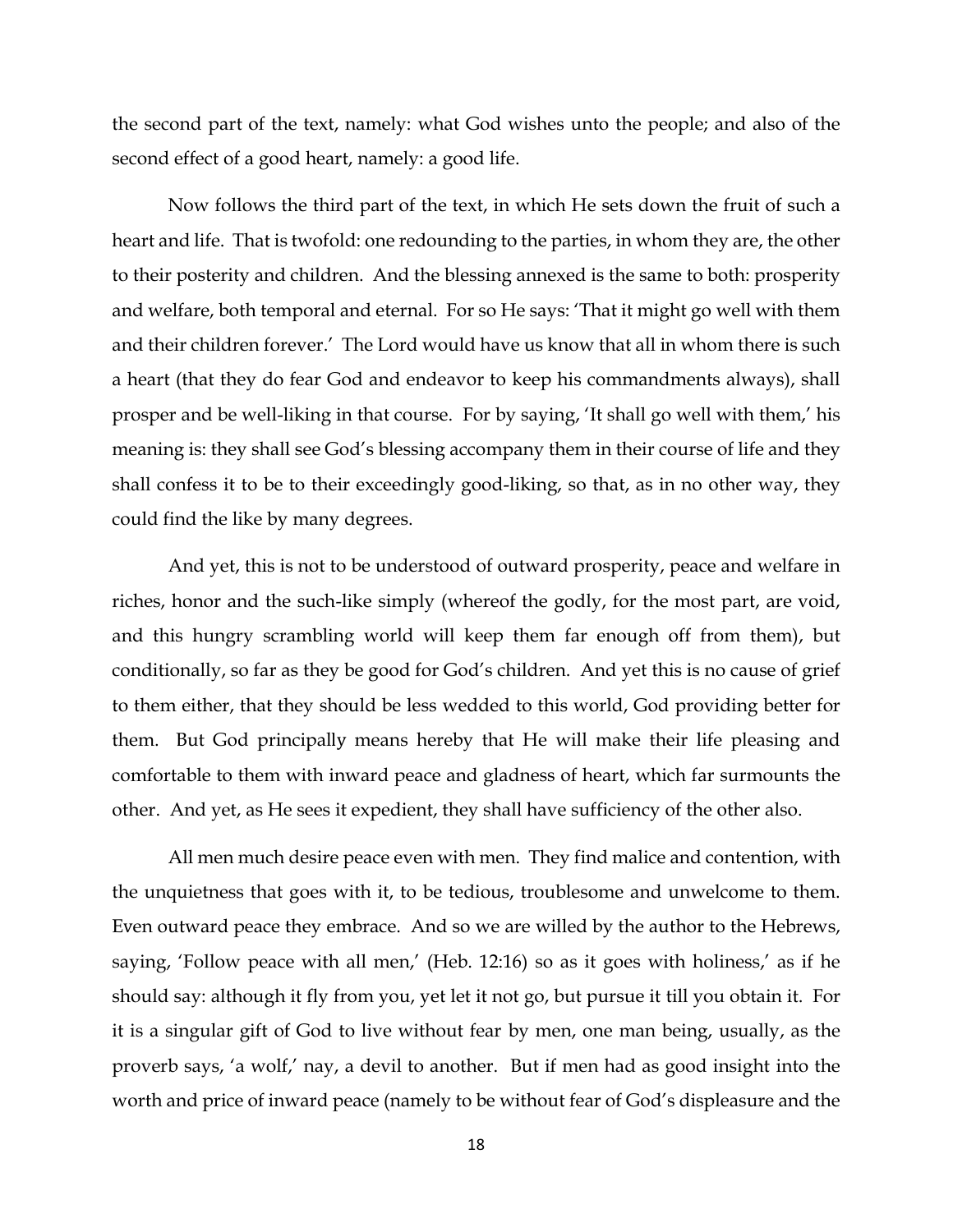the second part of the text, namely: what God wishes unto the people; and also of the second effect of a good heart, namely: a good life.

Now follows the third part of the text, in which He sets down the fruit of such a heart and life. That is twofold: one redounding to the parties, in whom they are, the other to their posterity and children. And the blessing annexed is the same to both: prosperity and welfare, both temporal and eternal. For so He says: 'That it might go well with them and their children forever.' The Lord would have us know that all in whom there is such a heart (that they do fear God and endeavor to keep his commandments always), shall prosper and be well-liking in that course. For by saying, 'It shall go well with them,' his meaning is: they shall see God's blessing accompany them in their course of life and they shall confess it to be to their exceedingly good-liking, so that, as in no other way, they could find the like by many degrees.

And yet, this is not to be understood of outward prosperity, peace and welfare in riches, honor and the such-like simply (whereof the godly, for the most part, are void, and this hungry scrambling world will keep them far enough off from them), but conditionally, so far as they be good for God's children. And yet this is no cause of grief to them either, that they should be less wedded to this world, God providing better for them. But God principally means hereby that He will make their life pleasing and comfortable to them with inward peace and gladness of heart, which far surmounts the other. And yet, as He sees it expedient, they shall have sufficiency of the other also.

All men much desire peace even with men. They find malice and contention, with the unquietness that goes with it, to be tedious, troublesome and unwelcome to them. Even outward peace they embrace. And so we are willed by the author to the Hebrews, saying, 'Follow peace with all men,' (Heb. 12:16) so as it goes with holiness,' as if he should say: although it fly from you, yet let it not go, but pursue it till you obtain it. For it is a singular gift of God to live without fear by men, one man being, usually, as the proverb says, 'a wolf,' nay, a devil to another. But if men had as good insight into the worth and price of inward peace (namely to be without fear of God's displeasure and the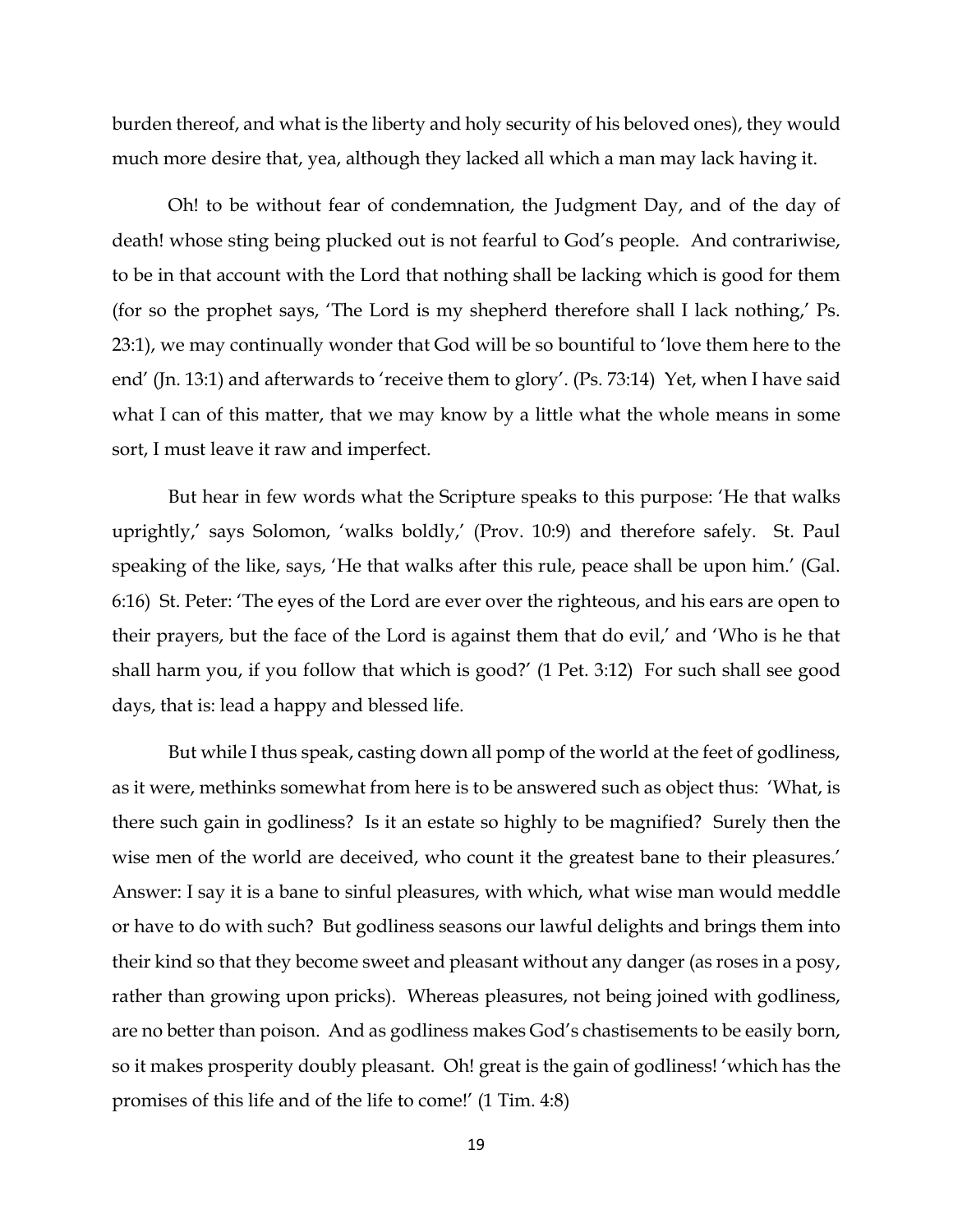burden thereof, and what is the liberty and holy security of his beloved ones), they would much more desire that, yea, although they lacked all which a man may lack having it.

Oh! to be without fear of condemnation, the Judgment Day, and of the day of death! whose sting being plucked out is not fearful to God's people. And contrariwise, to be in that account with the Lord that nothing shall be lacking which is good for them (for so the prophet says, 'The Lord is my shepherd therefore shall I lack nothing,' Ps. 23:1), we may continually wonder that God will be so bountiful to 'love them here to the end' (Jn. 13:1) and afterwards to 'receive them to glory'. (Ps. 73:14) Yet, when I have said what I can of this matter, that we may know by a little what the whole means in some sort, I must leave it raw and imperfect.

But hear in few words what the Scripture speaks to this purpose: 'He that walks uprightly,' says Solomon, 'walks boldly,' (Prov. 10:9) and therefore safely. St. Paul speaking of the like, says, 'He that walks after this rule, peace shall be upon him.' (Gal. 6:16) St. Peter: 'The eyes of the Lord are ever over the righteous, and his ears are open to their prayers, but the face of the Lord is against them that do evil,' and 'Who is he that shall harm you, if you follow that which is good?' (1 Pet. 3:12) For such shall see good days, that is: lead a happy and blessed life.

But while I thus speak, casting down all pomp of the world at the feet of godliness, as it were, methinks somewhat from here is to be answered such as object thus: 'What, is there such gain in godliness? Is it an estate so highly to be magnified? Surely then the wise men of the world are deceived, who count it the greatest bane to their pleasures.' Answer: I say it is a bane to sinful pleasures, with which, what wise man would meddle or have to do with such? But godliness seasons our lawful delights and brings them into their kind so that they become sweet and pleasant without any danger (as roses in a posy, rather than growing upon pricks). Whereas pleasures, not being joined with godliness, are no better than poison. And as godliness makes God's chastisements to be easily born, so it makes prosperity doubly pleasant. Oh! great is the gain of godliness! 'which has the promises of this life and of the life to come!' (1 Tim. 4:8)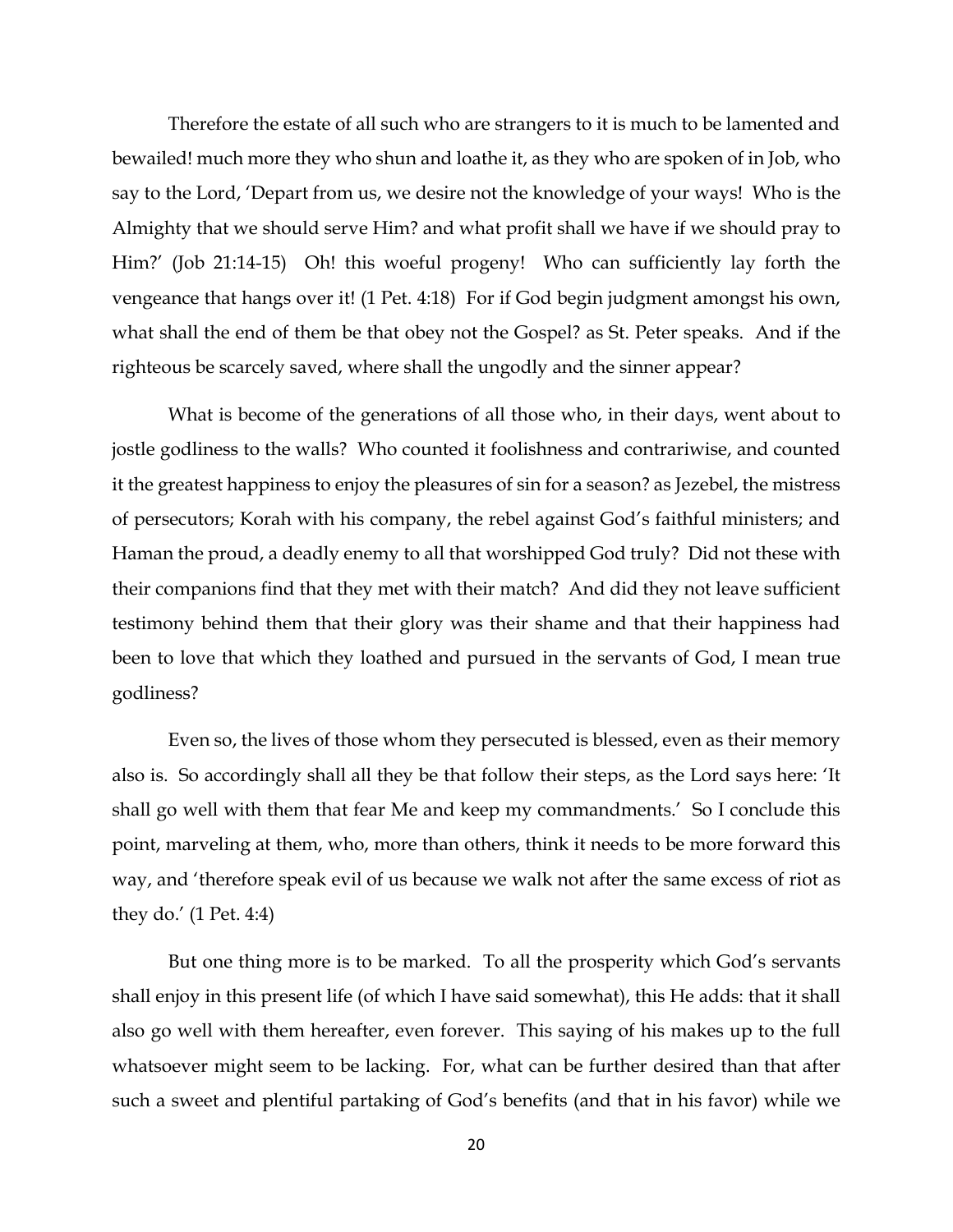Therefore the estate of all such who are strangers to it is much to be lamented and bewailed! much more they who shun and loathe it, as they who are spoken of in Job, who say to the Lord, 'Depart from us, we desire not the knowledge of your ways! Who is the Almighty that we should serve Him? and what profit shall we have if we should pray to Him?' (Job 21:14-15) Oh! this woeful progeny! Who can sufficiently lay forth the vengeance that hangs over it! (1 Pet. 4:18) For if God begin judgment amongst his own, what shall the end of them be that obey not the Gospel? as St. Peter speaks. And if the righteous be scarcely saved, where shall the ungodly and the sinner appear?

What is become of the generations of all those who, in their days, went about to jostle godliness to the walls? Who counted it foolishness and contrariwise, and counted it the greatest happiness to enjoy the pleasures of sin for a season? as Jezebel, the mistress of persecutors; Korah with his company, the rebel against God's faithful ministers; and Haman the proud, a deadly enemy to all that worshipped God truly? Did not these with their companions find that they met with their match? And did they not leave sufficient testimony behind them that their glory was their shame and that their happiness had been to love that which they loathed and pursued in the servants of God, I mean true godliness?

Even so, the lives of those whom they persecuted is blessed, even as their memory also is. So accordingly shall all they be that follow their steps, as the Lord says here: 'It shall go well with them that fear Me and keep my commandments.' So I conclude this point, marveling at them, who, more than others, think it needs to be more forward this way, and 'therefore speak evil of us because we walk not after the same excess of riot as they do.' (1 Pet. 4:4)

But one thing more is to be marked. To all the prosperity which God's servants shall enjoy in this present life (of which I have said somewhat), this He adds: that it shall also go well with them hereafter, even forever. This saying of his makes up to the full whatsoever might seem to be lacking. For, what can be further desired than that after such a sweet and plentiful partaking of God's benefits (and that in his favor) while we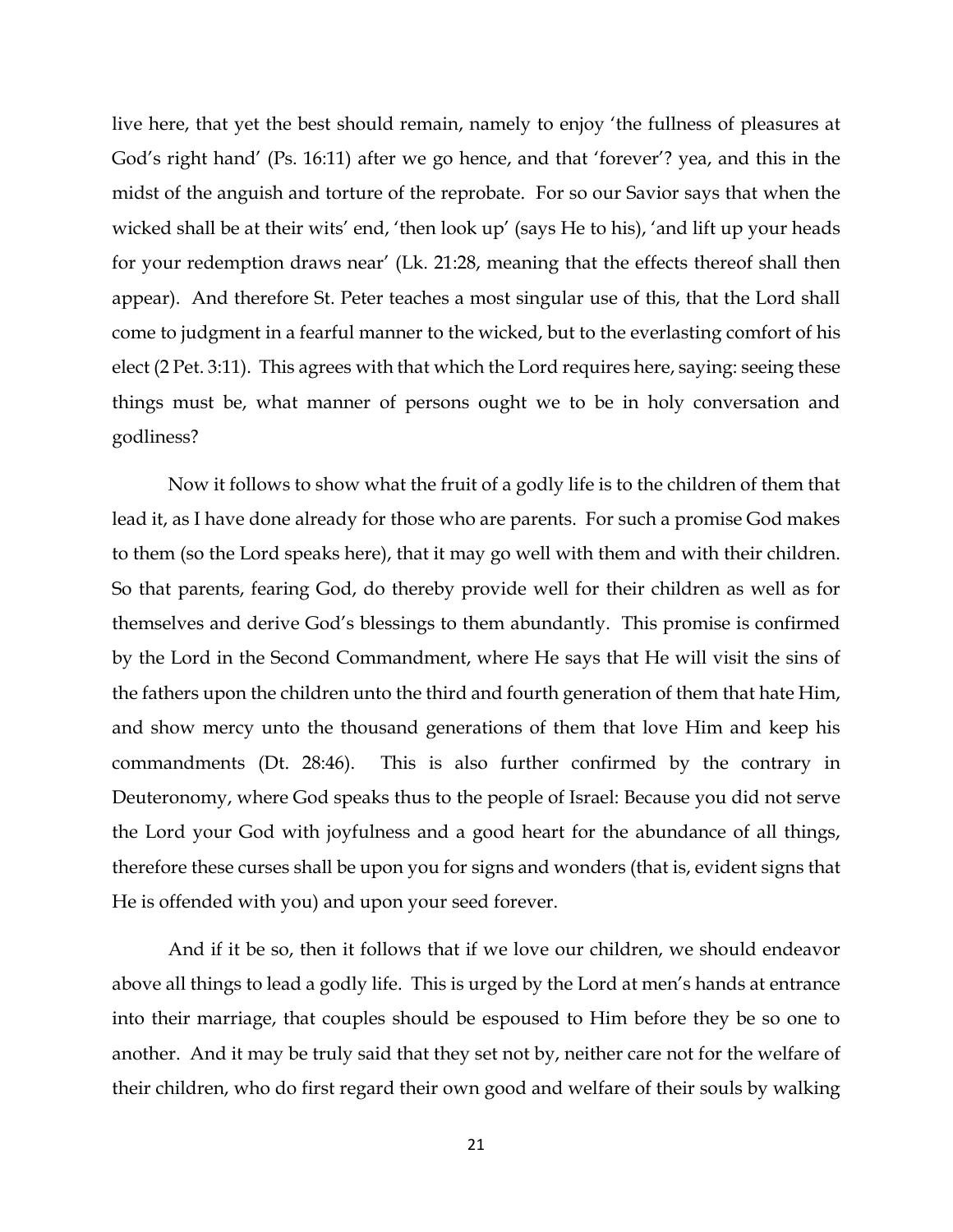live here, that yet the best should remain, namely to enjoy 'the fullness of pleasures at God's right hand' (Ps. 16:11) after we go hence, and that 'forever'? yea, and this in the midst of the anguish and torture of the reprobate. For so our Savior says that when the wicked shall be at their wits' end, 'then look up' (says He to his), 'and lift up your heads for your redemption draws near' (Lk. 21:28, meaning that the effects thereof shall then appear). And therefore St. Peter teaches a most singular use of this, that the Lord shall come to judgment in a fearful manner to the wicked, but to the everlasting comfort of his elect (2 Pet. 3:11). This agrees with that which the Lord requires here, saying: seeing these things must be, what manner of persons ought we to be in holy conversation and godliness?

Now it follows to show what the fruit of a godly life is to the children of them that lead it, as I have done already for those who are parents. For such a promise God makes to them (so the Lord speaks here), that it may go well with them and with their children. So that parents, fearing God, do thereby provide well for their children as well as for themselves and derive God's blessings to them abundantly. This promise is confirmed by the Lord in the Second Commandment, where He says that He will visit the sins of the fathers upon the children unto the third and fourth generation of them that hate Him, and show mercy unto the thousand generations of them that love Him and keep his commandments (Dt. 28:46). This is also further confirmed by the contrary in Deuteronomy, where God speaks thus to the people of Israel: Because you did not serve the Lord your God with joyfulness and a good heart for the abundance of all things, therefore these curses shall be upon you for signs and wonders (that is, evident signs that He is offended with you) and upon your seed forever.

And if it be so, then it follows that if we love our children, we should endeavor above all things to lead a godly life. This is urged by the Lord at men's hands at entrance into their marriage, that couples should be espoused to Him before they be so one to another. And it may be truly said that they set not by, neither care not for the welfare of their children, who do first regard their own good and welfare of their souls by walking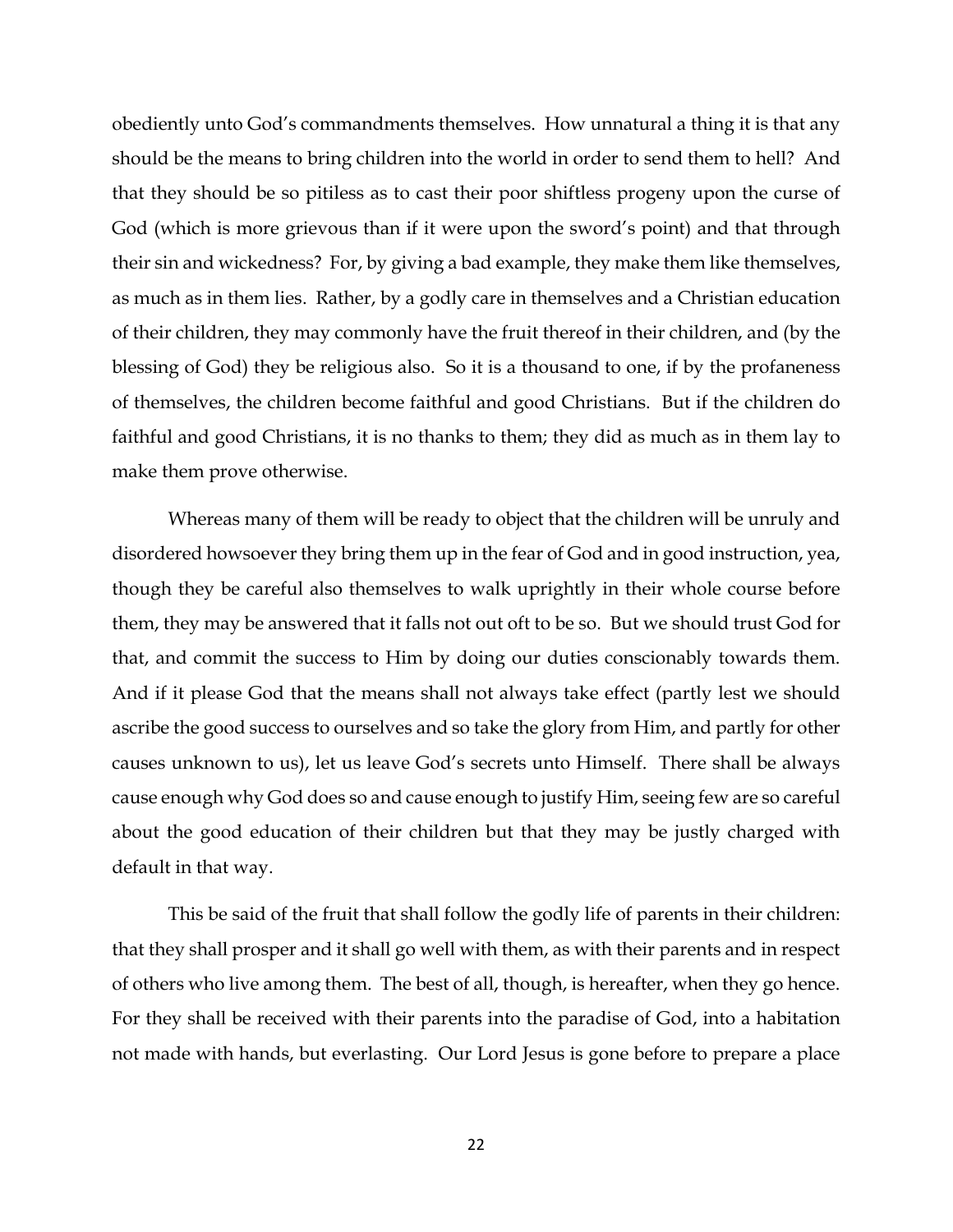obediently unto God's commandments themselves. How unnatural a thing it is that any should be the means to bring children into the world in order to send them to hell? And that they should be so pitiless as to cast their poor shiftless progeny upon the curse of God (which is more grievous than if it were upon the sword's point) and that through their sin and wickedness? For, by giving a bad example, they make them like themselves, as much as in them lies. Rather, by a godly care in themselves and a Christian education of their children, they may commonly have the fruit thereof in their children, and (by the blessing of God) they be religious also. So it is a thousand to one, if by the profaneness of themselves, the children become faithful and good Christians. But if the children do faithful and good Christians, it is no thanks to them; they did as much as in them lay to make them prove otherwise.

Whereas many of them will be ready to object that the children will be unruly and disordered howsoever they bring them up in the fear of God and in good instruction, yea, though they be careful also themselves to walk uprightly in their whole course before them, they may be answered that it falls not out oft to be so. But we should trust God for that, and commit the success to Him by doing our duties conscionably towards them. And if it please God that the means shall not always take effect (partly lest we should ascribe the good success to ourselves and so take the glory from Him, and partly for other causes unknown to us), let us leave God's secrets unto Himself. There shall be always cause enough why God does so and cause enough to justify Him, seeing few are so careful about the good education of their children but that they may be justly charged with default in that way.

This be said of the fruit that shall follow the godly life of parents in their children: that they shall prosper and it shall go well with them, as with their parents and in respect of others who live among them. The best of all, though, is hereafter, when they go hence. For they shall be received with their parents into the paradise of God, into a habitation not made with hands, but everlasting. Our Lord Jesus is gone before to prepare a place